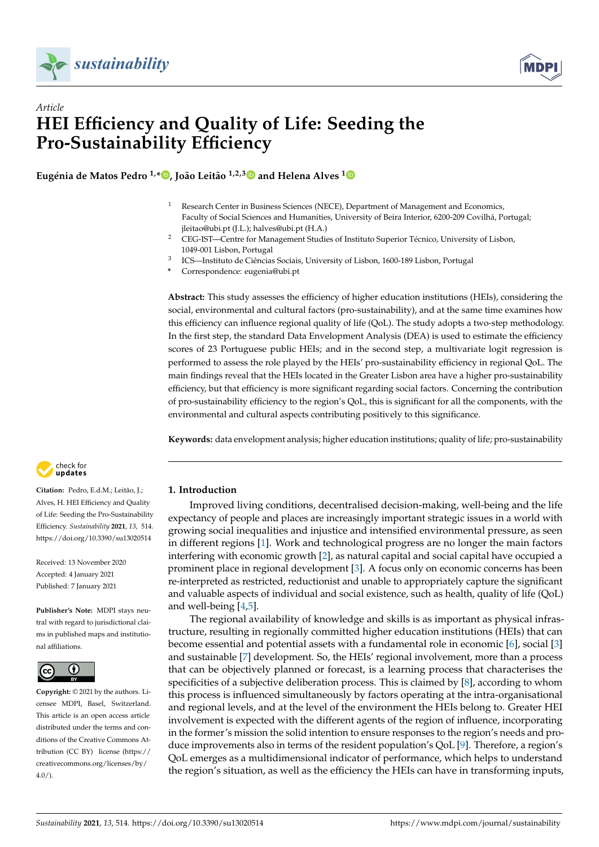



# *Article* **HEI Efficiency and Quality of Life: Seeding the Pro-Sustainability Efficiency**

**Eugénia de Matos Pedro 1,[\\*](https://orcid.org/0000-0001-9829-8703) , João Leitão 1,2,[3](https://orcid.org/0000-0002-6229-6148) and Helena Alves [1](https://orcid.org/0000-0001-5192-2310)**

- <sup>1</sup> Research Center in Business Sciences (NECE), Department of Management and Economics, Faculty of Social Sciences and Humanities, University of Beira Interior, 6200-209 Covilhã, Portugal; jleitao@ubi.pt (J.L.); halves@ubi.pt (H.A.)
- <sup>2</sup> CEG-IST—Centre for Management Studies of Instituto Superior Técnico, University of Lisbon, 1049-001 Lisbon, Portugal
- 3 ICS—Instituto de Ciências Sociais, University of Lisbon, 1600-189 Lisbon, Portugal
- **\*** Correspondence: eugenia@ubi.pt

**Abstract:** This study assesses the efficiency of higher education institutions (HEIs), considering the social, environmental and cultural factors (pro-sustainability), and at the same time examines how this efficiency can influence regional quality of life (QoL). The study adopts a two-step methodology. In the first step, the standard Data Envelopment Analysis (DEA) is used to estimate the efficiency scores of 23 Portuguese public HEIs; and in the second step, a multivariate logit regression is performed to assess the role played by the HEIs' pro-sustainability efficiency in regional QoL. The main findings reveal that the HEIs located in the Greater Lisbon area have a higher pro-sustainability efficiency, but that efficiency is more significant regarding social factors. Concerning the contribution of pro-sustainability efficiency to the region's QoL, this is significant for all the components, with the environmental and cultural aspects contributing positively to this significance.

**Keywords:** data envelopment analysis; higher education institutions; quality of life; pro-sustainability



**Citation:** Pedro, E.d.M.; Leitão, J.; Alves, H. HEI Efficiency and Quality of Life: Seeding the Pro-Sustainability Efficiency. *Sustainability* **2021**, *13*, 514. <https://doi.org/10.3390/su13020514>

Received: 13 November 2020 Accepted: 4 January 2021 Published: 7 January 2021

**Publisher's Note:** MDPI stays neutral with regard to jurisdictional claims in published maps and institutional affiliations.



**Copyright:** © 2021 by the authors. Licensee MDPI, Basel, Switzerland. This article is an open access article distributed under the terms and conditions of the Creative Commons Attribution (CC BY) license [\(https://](https://creativecommons.org/licenses/by/4.0/) [creativecommons.org/licenses/by/](https://creativecommons.org/licenses/by/4.0/) [4.0/\)](https://creativecommons.org/licenses/by/4.0/).

# **1. Introduction**

Improved living conditions, decentralised decision-making, well-being and the life expectancy of people and places are increasingly important strategic issues in a world with growing social inequalities and injustice and intensified environmental pressure, as seen in different regions [\[1\]](#page-21-0). Work and technological progress are no longer the main factors interfering with economic growth [\[2\]](#page-21-1), as natural capital and social capital have occupied a prominent place in regional development [\[3\]](#page-21-2). A focus only on economic concerns has been re-interpreted as restricted, reductionist and unable to appropriately capture the significant and valuable aspects of individual and social existence, such as health, quality of life (QoL) and well-being [\[4,](#page-21-3)[5\]](#page-21-4).

The regional availability of knowledge and skills is as important as physical infrastructure, resulting in regionally committed higher education institutions (HEIs) that can become essential and potential assets with a fundamental role in economic [\[6\]](#page-21-5), social [\[3\]](#page-21-2) and sustainable [\[7\]](#page-21-6) development. So, the HEIs' regional involvement, more than a process that can be objectively planned or forecast, is a learning process that characterises the specificities of a subjective deliberation process. This is claimed by [\[8\]](#page-21-7), according to whom this process is influenced simultaneously by factors operating at the intra-organisational and regional levels, and at the level of the environment the HEIs belong to. Greater HEI involvement is expected with the different agents of the region of influence, incorporating in the former's mission the solid intention to ensure responses to the region's needs and produce improvements also in terms of the resident population's QoL [\[9\]](#page-21-8). Therefore, a region's QoL emerges as a multidimensional indicator of performance, which helps to understand the region's situation, as well as the efficiency the HEIs can have in transforming inputs,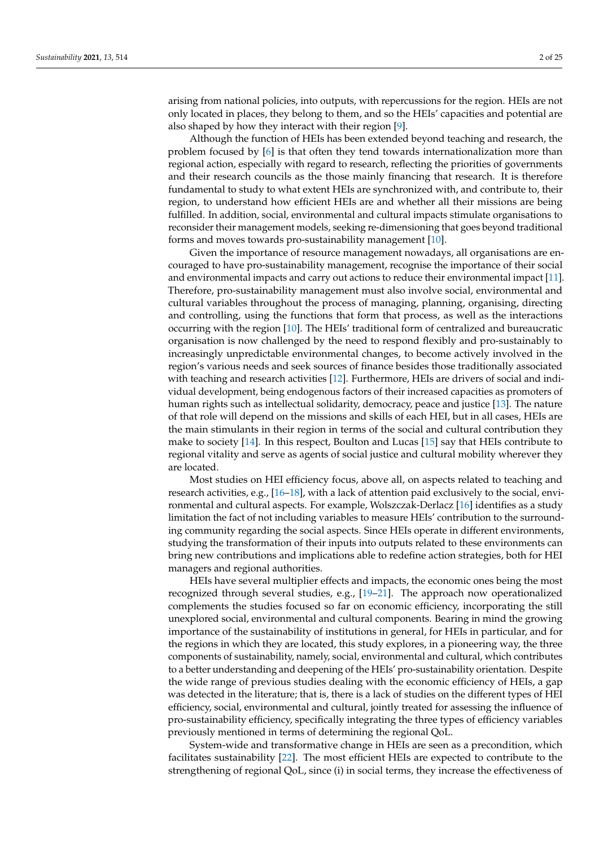arising from national policies, into outputs, with repercussions for the region. HEIs are not only located in places, they belong to them, and so the HEIs' capacities and potential are also shaped by how they interact with their region [\[9\]](#page-21-8).

Although the function of HEIs has been extended beyond teaching and research, the problem focused by [\[6\]](#page-21-5) is that often they tend towards internationalization more than regional action, especially with regard to research, reflecting the priorities of governments and their research councils as the those mainly financing that research. It is therefore fundamental to study to what extent HEIs are synchronized with, and contribute to, their region, to understand how efficient HEIs are and whether all their missions are being fulfilled. In addition, social, environmental and cultural impacts stimulate organisations to reconsider their management models, seeking re-dimensioning that goes beyond traditional forms and moves towards pro-sustainability management [\[10\]](#page-21-9).

Given the importance of resource management nowadays, all organisations are encouraged to have pro-sustainability management, recognise the importance of their social and environmental impacts and carry out actions to reduce their environmental impact [\[11\]](#page-21-10). Therefore, pro-sustainability management must also involve social, environmental and cultural variables throughout the process of managing, planning, organising, directing and controlling, using the functions that form that process, as well as the interactions occurring with the region [\[10\]](#page-21-9). The HEIs' traditional form of centralized and bureaucratic organisation is now challenged by the need to respond flexibly and pro-sustainably to increasingly unpredictable environmental changes, to become actively involved in the region's various needs and seek sources of finance besides those traditionally associated with teaching and research activities [\[12\]](#page-21-11). Furthermore, HEIs are drivers of social and individual development, being endogenous factors of their increased capacities as promoters of human rights such as intellectual solidarity, democracy, peace and justice [\[13\]](#page-21-12). The nature of that role will depend on the missions and skills of each HEI, but in all cases, HEIs are the main stimulants in their region in terms of the social and cultural contribution they make to society [\[14\]](#page-21-13). In this respect, Boulton and Lucas [\[15\]](#page-21-14) say that HEIs contribute to regional vitality and serve as agents of social justice and cultural mobility wherever they are located.

Most studies on HEI efficiency focus, above all, on aspects related to teaching and research activities, e.g., [\[16–](#page-21-15)[18\]](#page-22-0), with a lack of attention paid exclusively to the social, environmental and cultural aspects. For example, Wolszczak-Derlacz [\[16\]](#page-21-15) identifies as a study limitation the fact of not including variables to measure HEIs' contribution to the surrounding community regarding the social aspects. Since HEIs operate in different environments, studying the transformation of their inputs into outputs related to these environments can bring new contributions and implications able to redefine action strategies, both for HEI managers and regional authorities.

HEIs have several multiplier effects and impacts, the economic ones being the most recognized through several studies, e.g., [\[19](#page-22-1)[–21\]](#page-22-2). The approach now operationalized complements the studies focused so far on economic efficiency, incorporating the still unexplored social, environmental and cultural components. Bearing in mind the growing importance of the sustainability of institutions in general, for HEIs in particular, and for the regions in which they are located, this study explores, in a pioneering way, the three components of sustainability, namely, social, environmental and cultural, which contributes to a better understanding and deepening of the HEIs' pro-sustainability orientation. Despite the wide range of previous studies dealing with the economic efficiency of HEIs, a gap was detected in the literature; that is, there is a lack of studies on the different types of HEI efficiency, social, environmental and cultural, jointly treated for assessing the influence of pro-sustainability efficiency, specifically integrating the three types of efficiency variables previously mentioned in terms of determining the regional QoL.

System-wide and transformative change in HEIs are seen as a precondition, which facilitates sustainability [\[22\]](#page-22-3). The most efficient HEIs are expected to contribute to the strengthening of regional QoL, since (i) in social terms, they increase the effectiveness of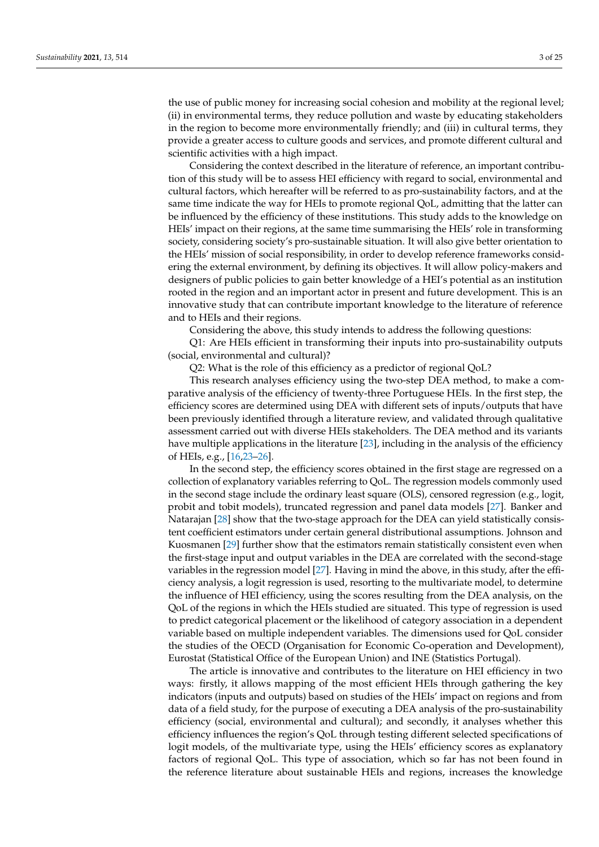the use of public money for increasing social cohesion and mobility at the regional level; (ii) in environmental terms, they reduce pollution and waste by educating stakeholders in the region to become more environmentally friendly; and (iii) in cultural terms, they provide a greater access to culture goods and services, and promote different cultural and scientific activities with a high impact.

Considering the context described in the literature of reference, an important contribution of this study will be to assess HEI efficiency with regard to social, environmental and cultural factors, which hereafter will be referred to as pro-sustainability factors, and at the same time indicate the way for HEIs to promote regional QoL, admitting that the latter can be influenced by the efficiency of these institutions. This study adds to the knowledge on HEIs' impact on their regions, at the same time summarising the HEIs' role in transforming society, considering society's pro-sustainable situation. It will also give better orientation to the HEIs' mission of social responsibility, in order to develop reference frameworks considering the external environment, by defining its objectives. It will allow policy-makers and designers of public policies to gain better knowledge of a HEI's potential as an institution rooted in the region and an important actor in present and future development. This is an innovative study that can contribute important knowledge to the literature of reference and to HEIs and their regions.

Considering the above, this study intends to address the following questions:

Q1: Are HEIs efficient in transforming their inputs into pro-sustainability outputs (social, environmental and cultural)?

Q2: What is the role of this efficiency as a predictor of regional QoL?

This research analyses efficiency using the two-step DEA method, to make a comparative analysis of the efficiency of twenty-three Portuguese HEIs. In the first step, the efficiency scores are determined using DEA with different sets of inputs/outputs that have been previously identified through a literature review, and validated through qualitative assessment carried out with diverse HEIs stakeholders. The DEA method and its variants have multiple applications in the literature [\[23\]](#page-22-4), including in the analysis of the efficiency of HEIs, e.g., [\[16](#page-21-15)[,23](#page-22-4)[–26\]](#page-22-5).

In the second step, the efficiency scores obtained in the first stage are regressed on a collection of explanatory variables referring to QoL. The regression models commonly used in the second stage include the ordinary least square (OLS), censored regression (e.g., logit, probit and tobit models), truncated regression and panel data models [\[27\]](#page-22-6). Banker and Natarajan [\[28\]](#page-22-7) show that the two-stage approach for the DEA can yield statistically consistent coefficient estimators under certain general distributional assumptions. Johnson and Kuosmanen [\[29\]](#page-22-8) further show that the estimators remain statistically consistent even when the first-stage input and output variables in the DEA are correlated with the second-stage variables in the regression model [\[27\]](#page-22-6). Having in mind the above, in this study, after the efficiency analysis, a logit regression is used, resorting to the multivariate model, to determine the influence of HEI efficiency, using the scores resulting from the DEA analysis, on the QoL of the regions in which the HEIs studied are situated. This type of regression is used to predict categorical placement or the likelihood of category association in a dependent variable based on multiple independent variables. The dimensions used for QoL consider the studies of the OECD (Organisation for Economic Co-operation and Development), Eurostat (Statistical Office of the European Union) and INE (Statistics Portugal).

The article is innovative and contributes to the literature on HEI efficiency in two ways: firstly, it allows mapping of the most efficient HEIs through gathering the key indicators (inputs and outputs) based on studies of the HEIs' impact on regions and from data of a field study, for the purpose of executing a DEA analysis of the pro-sustainability efficiency (social, environmental and cultural); and secondly, it analyses whether this efficiency influences the region's QoL through testing different selected specifications of logit models, of the multivariate type, using the HEIs' efficiency scores as explanatory factors of regional QoL. This type of association, which so far has not been found in the reference literature about sustainable HEIs and regions, increases the knowledge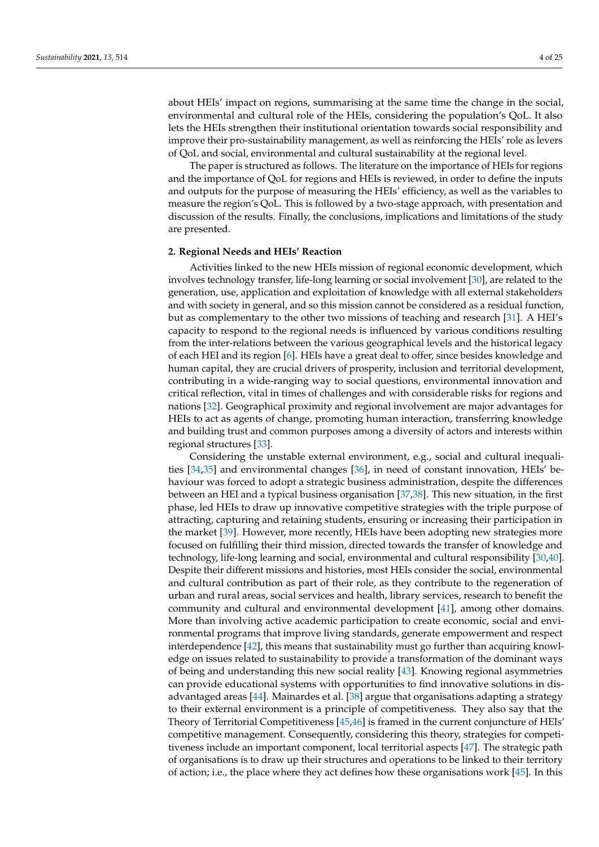about HEIs' impact on regions, summarising at the same time the change in the social, environmental and cultural role of the HEIs, considering the population's QoL. It also lets the HEIs strengthen their institutional orientation towards social responsibility and improve their pro-sustainability management, as well as reinforcing the HEIs' role as levers of QoL and social, environmental and cultural sustainability at the regional level.

The paper is structured as follows. The literature on the importance of HEIs for regions and the importance of QoL for regions and HEIs is reviewed, in order to define the inputs and outputs for the purpose of measuring the HEIs' efficiency, as well as the variables to measure the region's QoL. This is followed by a two-stage approach, with presentation and discussion of the results. Finally, the conclusions, implications and limitations of the study are presented.

## **2. Regional Needs and HEIs' Reaction**

Activities linked to the new HEIs mission of regional economic development, which involves technology transfer, life-long learning or social involvement [\[30\]](#page-22-9), are related to the generation, use, application and exploitation of knowledge with all external stakeholders and with society in general, and so this mission cannot be considered as a residual function, but as complementary to the other two missions of teaching and research [\[31\]](#page-22-10). A HEI's capacity to respond to the regional needs is influenced by various conditions resulting from the inter-relations between the various geographical levels and the historical legacy of each HEI and its region [\[6\]](#page-21-5). HEIs have a great deal to offer, since besides knowledge and human capital, they are crucial drivers of prosperity, inclusion and territorial development, contributing in a wide-ranging way to social questions, environmental innovation and critical reflection, vital in times of challenges and with considerable risks for regions and nations [\[32\]](#page-22-11). Geographical proximity and regional involvement are major advantages for HEIs to act as agents of change, promoting human interaction, transferring knowledge and building trust and common purposes among a diversity of actors and interests within regional structures [\[33\]](#page-22-12).

Considering the unstable external environment, e.g., social and cultural inequalities [\[34,](#page-22-13)[35\]](#page-22-14) and environmental changes [\[36\]](#page-22-15), in need of constant innovation, HEIs' behaviour was forced to adopt a strategic business administration, despite the differences between an HEI and a typical business organisation [\[37](#page-22-16)[,38\]](#page-22-17). This new situation, in the first phase, led HEIs to draw up innovative competitive strategies with the triple purpose of attracting, capturing and retaining students, ensuring or increasing their participation in the market [\[39\]](#page-22-18). However, more recently, HEIs have been adopting new strategies more focused on fulfilling their third mission, directed towards the transfer of knowledge and technology, life-long learning and social, environmental and cultural responsibility [\[30](#page-22-9)[,40\]](#page-22-19). Despite their different missions and histories, most HEIs consider the social, environmental and cultural contribution as part of their role, as they contribute to the regeneration of urban and rural areas, social services and health, library services, research to benefit the community and cultural and environmental development [\[41\]](#page-22-20), among other domains. More than involving active academic participation to create economic, social and environmental programs that improve living standards, generate empowerment and respect interdependence [\[42\]](#page-22-21), this means that sustainability must go further than acquiring knowledge on issues related to sustainability to provide a transformation of the dominant ways of being and understanding this new social reality [\[43\]](#page-22-22). Knowing regional asymmetries can provide educational systems with opportunities to find innovative solutions in disadvantaged areas [\[44\]](#page-22-23). Mainardes et al. [\[38\]](#page-22-17) argue that organisations adapting a strategy to their external environment is a principle of competitiveness. They also say that the Theory of Territorial Competitiveness [\[45,](#page-22-24)[46\]](#page-22-25) is framed in the current conjuncture of HEIs' competitive management. Consequently, considering this theory, strategies for competitiveness include an important component, local territorial aspects [\[47\]](#page-22-26). The strategic path of organisations is to draw up their structures and operations to be linked to their territory of action; i.e., the place where they act defines how these organisations work [\[45\]](#page-22-24). In this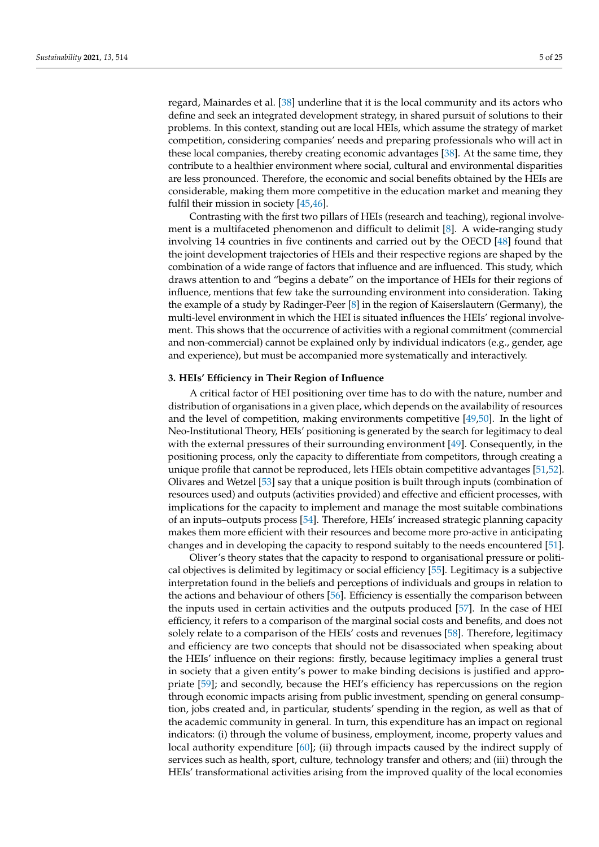regard, Mainardes et al. [\[38\]](#page-22-17) underline that it is the local community and its actors who define and seek an integrated development strategy, in shared pursuit of solutions to their problems. In this context, standing out are local HEIs, which assume the strategy of market competition, considering companies' needs and preparing professionals who will act in these local companies, thereby creating economic advantages [\[38\]](#page-22-17). At the same time, they contribute to a healthier environment where social, cultural and environmental disparities are less pronounced. Therefore, the economic and social benefits obtained by the HEIs are considerable, making them more competitive in the education market and meaning they fulfil their mission in society [\[45](#page-22-24)[,46\]](#page-22-25).

Contrasting with the first two pillars of HEIs (research and teaching), regional involvement is a multifaceted phenomenon and difficult to delimit [\[8\]](#page-21-7). A wide-ranging study involving 14 countries in five continents and carried out by the OECD [\[48\]](#page-22-27) found that the joint development trajectories of HEIs and their respective regions are shaped by the combination of a wide range of factors that influence and are influenced. This study, which draws attention to and "begins a debate" on the importance of HEIs for their regions of influence, mentions that few take the surrounding environment into consideration. Taking the example of a study by Radinger-Peer [\[8\]](#page-21-7) in the region of Kaiserslautern (Germany), the multi-level environment in which the HEI is situated influences the HEIs' regional involvement. This shows that the occurrence of activities with a regional commitment (commercial and non-commercial) cannot be explained only by individual indicators (e.g., gender, age and experience), but must be accompanied more systematically and interactively.

## **3. HEIs' Efficiency in Their Region of Influence**

A critical factor of HEI positioning over time has to do with the nature, number and distribution of organisations in a given place, which depends on the availability of resources and the level of competition, making environments competitive [\[49](#page-22-28)[,50\]](#page-23-0). In the light of Neo-Institutional Theory, HEIs' positioning is generated by the search for legitimacy to deal with the external pressures of their surrounding environment [\[49\]](#page-22-28). Consequently, in the positioning process, only the capacity to differentiate from competitors, through creating a unique profile that cannot be reproduced, lets HEIs obtain competitive advantages [\[51](#page-23-1)[,52\]](#page-23-2). Olivares and Wetzel [\[53\]](#page-23-3) say that a unique position is built through inputs (combination of resources used) and outputs (activities provided) and effective and efficient processes, with implications for the capacity to implement and manage the most suitable combinations of an inputs–outputs process [\[54\]](#page-23-4). Therefore, HEIs' increased strategic planning capacity makes them more efficient with their resources and become more pro-active in anticipating changes and in developing the capacity to respond suitably to the needs encountered [\[51\]](#page-23-1).

Oliver's theory states that the capacity to respond to organisational pressure or political objectives is delimited by legitimacy or social efficiency [\[55\]](#page-23-5). Legitimacy is a subjective interpretation found in the beliefs and perceptions of individuals and groups in relation to the actions and behaviour of others [\[56\]](#page-23-6). Efficiency is essentially the comparison between the inputs used in certain activities and the outputs produced [\[57\]](#page-23-7). In the case of HEI efficiency, it refers to a comparison of the marginal social costs and benefits, and does not solely relate to a comparison of the HEIs' costs and revenues [\[58\]](#page-23-8). Therefore, legitimacy and efficiency are two concepts that should not be disassociated when speaking about the HEIs' influence on their regions: firstly, because legitimacy implies a general trust in society that a given entity's power to make binding decisions is justified and appropriate [\[59\]](#page-23-9); and secondly, because the HEI's efficiency has repercussions on the region through economic impacts arising from public investment, spending on general consumption, jobs created and, in particular, students' spending in the region, as well as that of the academic community in general. In turn, this expenditure has an impact on regional indicators: (i) through the volume of business, employment, income, property values and local authority expenditure [\[60\]](#page-23-10); (ii) through impacts caused by the indirect supply of services such as health, sport, culture, technology transfer and others; and (iii) through the HEIs' transformational activities arising from the improved quality of the local economies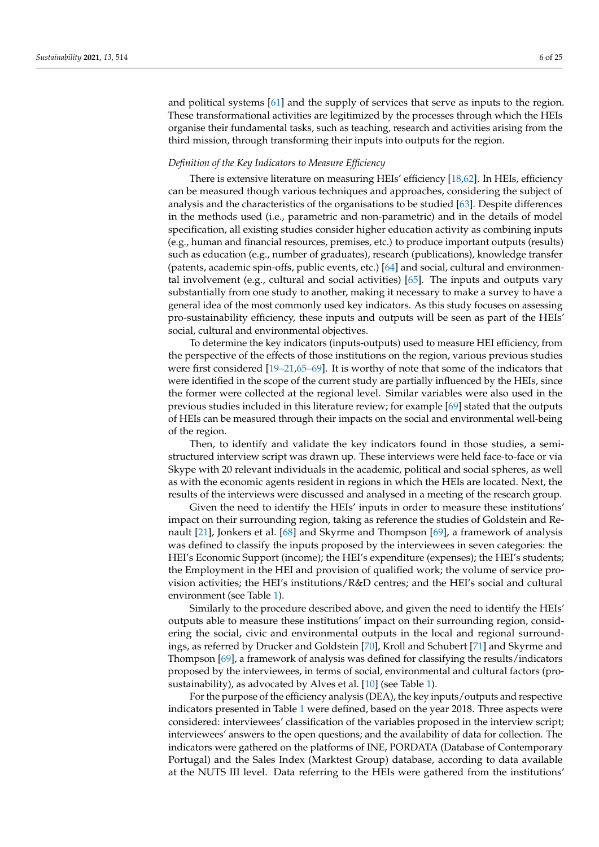and political systems [\[61\]](#page-23-11) and the supply of services that serve as inputs to the region. These transformational activities are legitimized by the processes through which the HEIs organise their fundamental tasks, such as teaching, research and activities arising from the third mission, through transforming their inputs into outputs for the region.

### *Definition of the Key Indicators to Measure Efficiency*

There is extensive literature on measuring HEIs' efficiency [\[18,](#page-22-0)[62\]](#page-23-12). In HEIs, efficiency can be measured though various techniques and approaches, considering the subject of analysis and the characteristics of the organisations to be studied [\[63\]](#page-23-13). Despite differences in the methods used (i.e., parametric and non-parametric) and in the details of model specification, all existing studies consider higher education activity as combining inputs (e.g., human and financial resources, premises, etc.) to produce important outputs (results) such as education (e.g., number of graduates), research (publications), knowledge transfer (patents, academic spin-offs, public events, etc.) [\[64\]](#page-23-14) and social, cultural and environmental involvement (e.g., cultural and social activities) [\[65\]](#page-23-15). The inputs and outputs vary substantially from one study to another, making it necessary to make a survey to have a general idea of the most commonly used key indicators. As this study focuses on assessing pro-sustainability efficiency, these inputs and outputs will be seen as part of the HEIs' social, cultural and environmental objectives.

To determine the key indicators (inputs-outputs) used to measure HEI efficiency, from the perspective of the effects of those institutions on the region, various previous studies were first considered [\[19–](#page-22-1)[21](#page-22-2)[,65](#page-23-15)[–69\]](#page-23-16). It is worthy of note that some of the indicators that were identified in the scope of the current study are partially influenced by the HEIs, since the former were collected at the regional level. Similar variables were also used in the previous studies included in this literature review; for example [\[69\]](#page-23-16) stated that the outputs of HEIs can be measured through their impacts on the social and environmental well-being of the region.

Then, to identify and validate the key indicators found in those studies, a semistructured interview script was drawn up. These interviews were held face-to-face or via Skype with 20 relevant individuals in the academic, political and social spheres, as well as with the economic agents resident in regions in which the HEIs are located. Next, the results of the interviews were discussed and analysed in a meeting of the research group.

Given the need to identify the HEIs' inputs in order to measure these institutions' impact on their surrounding region, taking as reference the studies of Goldstein and Renault [\[21\]](#page-22-2), Jonkers et al. [\[68\]](#page-23-17) and Skyrme and Thompson [\[69\]](#page-23-16), a framework of analysis was defined to classify the inputs proposed by the interviewees in seven categories: the HEI's Economic Support (income); the HEI's expenditure (expenses); the HEI's students; the Employment in the HEI and provision of qualified work; the volume of service provision activities; the HEI's institutions/R&D centres; and the HEI's social and cultural environment (see Table [1\)](#page-6-0).

Similarly to the procedure described above, and given the need to identify the HEIs' outputs able to measure these institutions' impact on their surrounding region, considering the social, civic and environmental outputs in the local and regional surroundings, as referred by Drucker and Goldstein [\[70\]](#page-23-18), Kroll and Schubert [\[71\]](#page-23-19) and Skyrme and Thompson [\[69\]](#page-23-16), a framework of analysis was defined for classifying the results/indicators proposed by the interviewees, in terms of social, environmental and cultural factors (prosustainability), as advocated by Alves et al. [\[10\]](#page-21-9) (see Table [1\)](#page-6-0).

For the purpose of the efficiency analysis (DEA), the key inputs/outputs and respective indicators presented in Table [1](#page-6-0) were defined, based on the year 2018. Three aspects were considered: interviewees' classification of the variables proposed in the interview script; interviewees' answers to the open questions; and the availability of data for collection. The indicators were gathered on the platforms of INE, PORDATA (Database of Contemporary Portugal) and the Sales Index (Marktest Group) database, according to data available at the NUTS III level. Data referring to the HEIs were gathered from the institutions'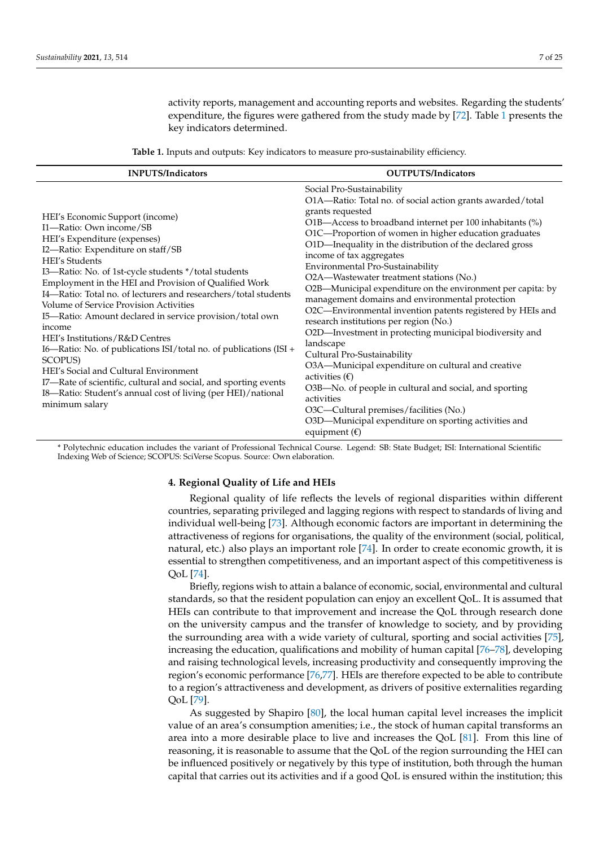activity reports, management and accounting reports and websites. Regarding the students' expenditure, the figures were gathered from the study made by [\[72\]](#page-23-20). Table [1](#page-6-0) presents the key indicators determined.

**Table 1.** Inputs and outputs: Key indicators to measure pro-sustainability efficiency.

<span id="page-6-0"></span>

| <b>INPUTS/Indicators</b>                                                                                                                                                                                                                                                                                                                                                                                                                                                                                                                                                                                                                                                                                                                                                             | <b>OUTPUTS/Indicators</b>                                                                                                                                                                                                                                                                                                                                                                                                                                                                                                                                                                                                                                                                                                                                                                                                                                                                                                                                                                                                     |  |  |  |  |
|--------------------------------------------------------------------------------------------------------------------------------------------------------------------------------------------------------------------------------------------------------------------------------------------------------------------------------------------------------------------------------------------------------------------------------------------------------------------------------------------------------------------------------------------------------------------------------------------------------------------------------------------------------------------------------------------------------------------------------------------------------------------------------------|-------------------------------------------------------------------------------------------------------------------------------------------------------------------------------------------------------------------------------------------------------------------------------------------------------------------------------------------------------------------------------------------------------------------------------------------------------------------------------------------------------------------------------------------------------------------------------------------------------------------------------------------------------------------------------------------------------------------------------------------------------------------------------------------------------------------------------------------------------------------------------------------------------------------------------------------------------------------------------------------------------------------------------|--|--|--|--|
| HEI's Economic Support (income)<br>I1-Ratio: Own income/SB<br>HEI's Expenditure (expenses)<br>I2-Ratio: Expenditure on staff/SB<br><b>HEI's Students</b><br>I3-Ratio: No. of 1st-cycle students */total students<br>Employment in the HEI and Provision of Qualified Work<br>I4-Ratio: Total no. of lecturers and researchers/total students<br>Volume of Service Provision Activities<br>I5-Ratio: Amount declared in service provision/total own<br>income<br>HEI's Institutions/R&D Centres<br>I6—Ratio: No. of publications ISI/total no. of publications (ISI +<br><b>SCOPUS)</b><br>HEI's Social and Cultural Environment<br>I7-Rate of scientific, cultural and social, and sporting events<br>I8-Ratio: Student's annual cost of living (per HEI)/national<br>minimum salary | Social Pro-Sustainability<br>O1A—Ratio: Total no. of social action grants awarded/total<br>grants requested<br>O1B-Access to broadband internet per 100 inhabitants (%)<br>O1C-Proportion of women in higher education graduates<br>O1D-Inequality in the distribution of the declared gross<br>income of tax aggregates<br>Environmental Pro-Sustainability<br>O2A-Wastewater treatment stations (No.)<br>O2B-Municipal expenditure on the environment per capita: by<br>management domains and environmental protection<br>O2C—Environmental invention patents registered by HEIs and<br>research institutions per region (No.)<br>O2D-Investment in protecting municipal biodiversity and<br>landscape<br>Cultural Pro-Sustainability<br>O3A-Municipal expenditure on cultural and creative<br>activities $(\epsilon)$<br>O3B-No. of people in cultural and social, and sporting<br>activities<br>O3C-Cultural premises/facilities (No.)<br>O3D-Municipal expenditure on sporting activities and<br>equipment $(\epsilon)$ |  |  |  |  |

\* Polytechnic education includes the variant of Professional Technical Course. Legend: SB: State Budget; ISI: International Scientific Indexing Web of Science; SCOPUS: SciVerse Scopus. Source: Own elaboration.

## **4. Regional Quality of Life and HEIs**

Regional quality of life reflects the levels of regional disparities within different countries, separating privileged and lagging regions with respect to standards of living and individual well-being [\[73\]](#page-23-21). Although economic factors are important in determining the attractiveness of regions for organisations, the quality of the environment (social, political, natural, etc.) also plays an important role [\[74\]](#page-23-22). In order to create economic growth, it is essential to strengthen competitiveness, and an important aspect of this competitiveness is QoL [\[74\]](#page-23-22).

Briefly, regions wish to attain a balance of economic, social, environmental and cultural standards, so that the resident population can enjoy an excellent QoL. It is assumed that HEIs can contribute to that improvement and increase the QoL through research done on the university campus and the transfer of knowledge to society, and by providing the surrounding area with a wide variety of cultural, sporting and social activities [\[75\]](#page-23-23), increasing the education, qualifications and mobility of human capital [\[76](#page-23-24)[–78\]](#page-23-25), developing and raising technological levels, increasing productivity and consequently improving the region's economic performance [\[76,](#page-23-24)[77\]](#page-23-26). HEIs are therefore expected to be able to contribute to a region's attractiveness and development, as drivers of positive externalities regarding QoL [\[79\]](#page-23-27).

As suggested by Shapiro [\[80\]](#page-23-28), the local human capital level increases the implicit value of an area's consumption amenities; i.e., the stock of human capital transforms an area into a more desirable place to live and increases the QoL [\[81\]](#page-24-0). From this line of reasoning, it is reasonable to assume that the QoL of the region surrounding the HEI can be influenced positively or negatively by this type of institution, both through the human capital that carries out its activities and if a good QoL is ensured within the institution; this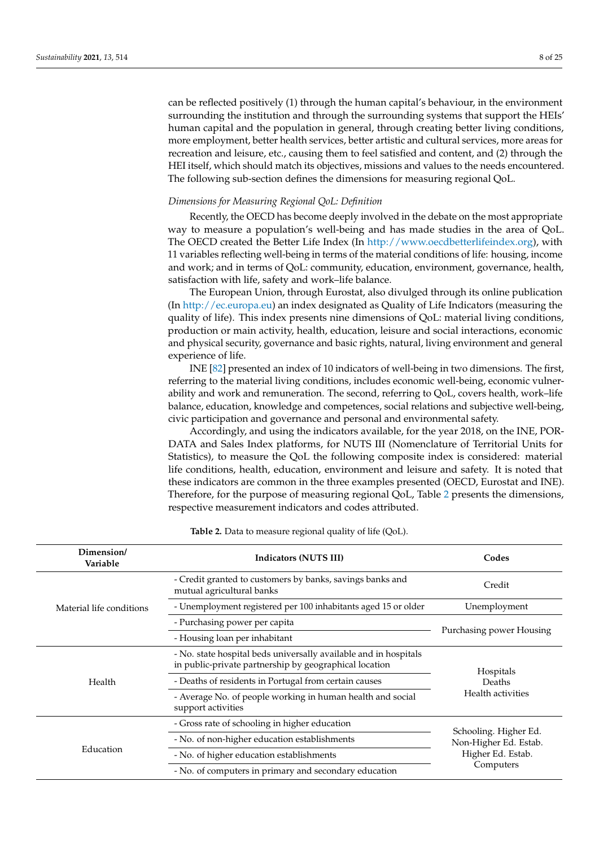can be reflected positively (1) through the human capital's behaviour, in the environment surrounding the institution and through the surrounding systems that support the HEIs' human capital and the population in general, through creating better living conditions, more employment, better health services, better artistic and cultural services, more areas for recreation and leisure, etc., causing them to feel satisfied and content, and (2) through the HEI itself, which should match its objectives, missions and values to the needs encountered. The following sub-section defines the dimensions for measuring regional QoL.

#### *Dimensions for Measuring Regional QoL: Definition*

Recently, the OECD has become deeply involved in the debate on the most appropriate way to measure a population's well-being and has made studies in the area of QoL. The OECD created the Better Life Index (In [http://www.oecdbetterlifeindex.org\)](http://www.oecdbetterlifeindex.org), with 11 variables reflecting well-being in terms of the material conditions of life: housing, income and work; and in terms of QoL: community, education, environment, governance, health, satisfaction with life, safety and work–life balance.

The European Union, through Eurostat, also divulged through its online publication (In [http://ec.europa.eu\)](http://ec.europa.eu) an index designated as Quality of Life Indicators (measuring the quality of life). This index presents nine dimensions of QoL: material living conditions, production or main activity, health, education, leisure and social interactions, economic and physical security, governance and basic rights, natural, living environment and general experience of life.

INE [\[82\]](#page-24-1) presented an index of 10 indicators of well-being in two dimensions. The first, referring to the material living conditions, includes economic well-being, economic vulnerability and work and remuneration. The second, referring to QoL, covers health, work–life balance, education, knowledge and competences, social relations and subjective well-being, civic participation and governance and personal and environmental safety.

Accordingly, and using the indicators available, for the year 2018, on the INE, POR-DATA and Sales Index platforms, for NUTS III (Nomenclature of Territorial Units for Statistics), to measure the QoL the following composite index is considered: material life conditions, health, education, environment and leisure and safety. It is noted that these indicators are common in the three examples presented (OECD, Eurostat and INE). Therefore, for the purpose of measuring regional QoL, Table [2](#page-8-0) presents the dimensions, respective measurement indicators and codes attributed.

| Dimension/<br>Variable   | <b>Indicators (NUTS III)</b>                                                                                               | Codes                                          |
|--------------------------|----------------------------------------------------------------------------------------------------------------------------|------------------------------------------------|
|                          | - Credit granted to customers by banks, savings banks and<br>mutual agricultural banks                                     | Credit                                         |
| Material life conditions | - Unemployment registered per 100 inhabitants aged 15 or older                                                             | Unemployment                                   |
|                          | - Purchasing power per capita                                                                                              |                                                |
|                          | - Housing loan per inhabitant                                                                                              | Purchasing power Housing                       |
|                          | - No. state hospital beds universally available and in hospitals<br>in public-private partnership by geographical location | Hospitals                                      |
| Health                   | - Deaths of residents in Portugal from certain causes                                                                      | Deaths                                         |
|                          | - Average No. of people working in human health and social<br>support activities                                           | Health activities                              |
|                          | - Gross rate of schooling in higher education                                                                              |                                                |
|                          | - No. of non-higher education establishments                                                                               | Schooling. Higher Ed.<br>Non-Higher Ed. Estab. |
| Education                | - No. of higher education establishments                                                                                   | Higher Ed. Estab.                              |
|                          | - No. of computers in primary and secondary education                                                                      | Computers                                      |

**Table 2.** Data to measure regional quality of life (QoL).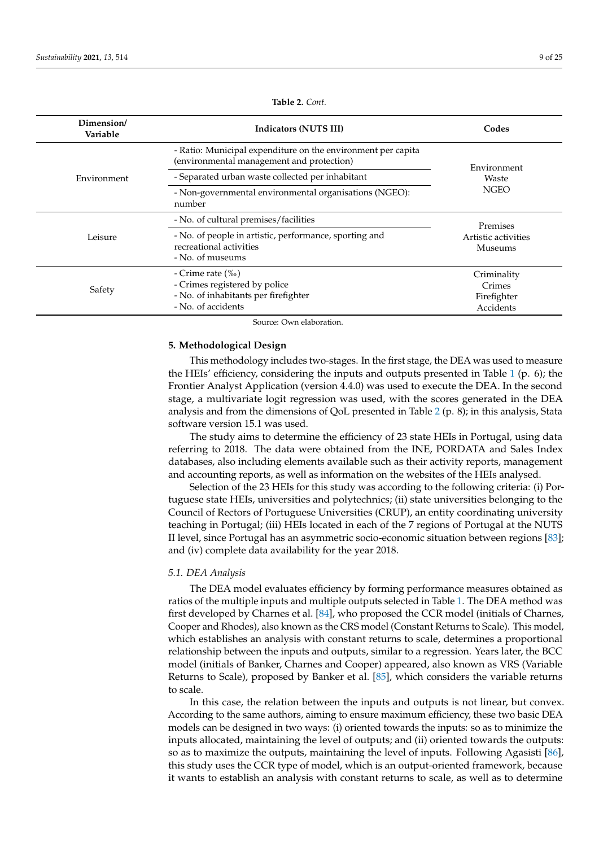<span id="page-8-0"></span>

| Dimension/<br>Variable | Indicators (NUTS III)                                                                                             |                                                   |  |  |  |  |  |
|------------------------|-------------------------------------------------------------------------------------------------------------------|---------------------------------------------------|--|--|--|--|--|
|                        | - Ratio: Municipal expenditure on the environment per capita<br>(environmental management and protection)         | Environment                                       |  |  |  |  |  |
| Environment            | - Separated urban waste collected per inhabitant                                                                  | Waste                                             |  |  |  |  |  |
|                        | - Non-governmental environmental organisations (NGEO):<br>number                                                  | <b>NGEO</b>                                       |  |  |  |  |  |
|                        | - No. of cultural premises/facilities                                                                             | Premises                                          |  |  |  |  |  |
| Leisure                | - No. of people in artistic, performance, sporting and<br>recreational activities<br>- No. of museums             | Artistic activities<br><b>Museums</b>             |  |  |  |  |  |
| Safety                 | - Crime rate $(\%$<br>- Crimes registered by police<br>- No. of inhabitants per firefighter<br>- No. of accidents | Criminality<br>Crimes<br>Firefighter<br>Accidents |  |  |  |  |  |

**Table 2.** *Cont.*

Source: Own elaboration.

## **5. Methodological Design**

This methodology includes two-stages. In the first stage, the DEA was used to measure the HEIs' efficiency, considering the inputs and outputs presented in Table [1](#page-6-0) (p. 6); the Frontier Analyst Application (version 4.4.0) was used to execute the DEA. In the second stage, a multivariate logit regression was used, with the scores generated in the DEA analysis and from the dimensions of QoL presented in Table [2](#page-8-0) (p. 8); in this analysis, Stata software version 15.1 was used.

The study aims to determine the efficiency of 23 state HEIs in Portugal, using data referring to 2018. The data were obtained from the INE, PORDATA and Sales Index databases, also including elements available such as their activity reports, management and accounting reports, as well as information on the websites of the HEIs analysed.

Selection of the 23 HEIs for this study was according to the following criteria: (i) Portuguese state HEIs, universities and polytechnics; (ii) state universities belonging to the Council of Rectors of Portuguese Universities (CRUP), an entity coordinating university teaching in Portugal; (iii) HEIs located in each of the 7 regions of Portugal at the NUTS II level, since Portugal has an asymmetric socio-economic situation between regions [\[83\]](#page-24-2); and (iv) complete data availability for the year 2018.

## *5.1. DEA Analysis*

The DEA model evaluates efficiency by forming performance measures obtained as ratios of the multiple inputs and multiple outputs selected in Table [1.](#page-6-0) The DEA method was first developed by Charnes et al. [\[84\]](#page-24-3), who proposed the CCR model (initials of Charnes, Cooper and Rhodes), also known as the CRS model (Constant Returns to Scale). This model, which establishes an analysis with constant returns to scale, determines a proportional relationship between the inputs and outputs, similar to a regression. Years later, the BCC model (initials of Banker, Charnes and Cooper) appeared, also known as VRS (Variable Returns to Scale), proposed by Banker et al. [\[85\]](#page-24-4), which considers the variable returns to scale.

In this case, the relation between the inputs and outputs is not linear, but convex. According to the same authors, aiming to ensure maximum efficiency, these two basic DEA models can be designed in two ways: (i) oriented towards the inputs: so as to minimize the inputs allocated, maintaining the level of outputs; and (ii) oriented towards the outputs: so as to maximize the outputs, maintaining the level of inputs. Following Agasisti [\[86\]](#page-24-5), this study uses the CCR type of model, which is an output-oriented framework, because it wants to establish an analysis with constant returns to scale, as well as to determine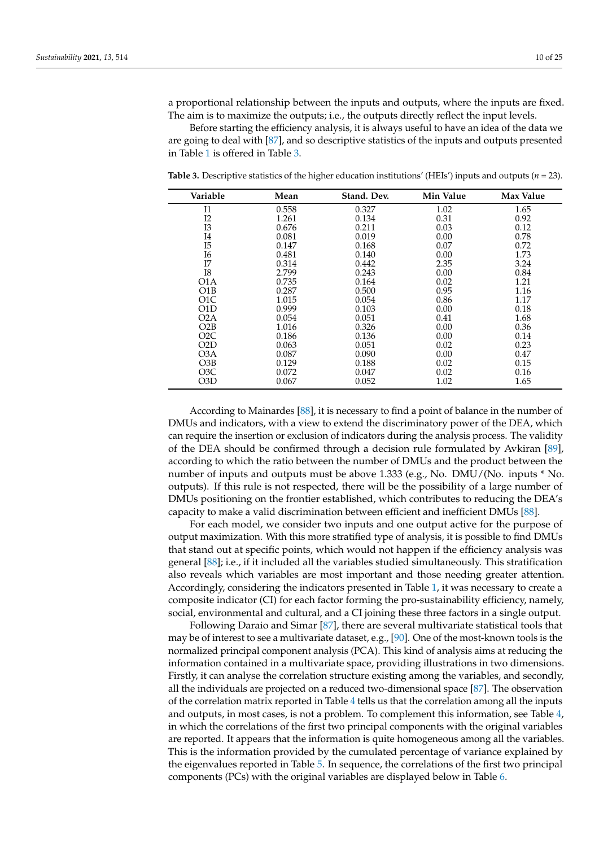a proportional relationship between the inputs and outputs, where the inputs are fixed. The aim is to maximize the outputs; i.e., the outputs directly reflect the input levels.

Before starting the efficiency analysis, it is always useful to have an idea of the data we are going to deal with [\[87\]](#page-24-6), and so descriptive statistics of the inputs and outputs presented in Table [1](#page-6-0) is offered in Table [3.](#page-9-0)

| Variable         | Mean  | Stand. Dev. | Min Value | Max Value |
|------------------|-------|-------------|-----------|-----------|
| I <sub>1</sub>   | 0.558 | 0.327       | 1.02      | 1.65      |
| I2               | 1.261 | 0.134       | 0.31      | 0.92      |
| I3               | 0.676 | 0.211       | 0.03      | 0.12      |
| I4               | 0.081 | 0.019       | 0.00      | 0.78      |
| I5               | 0.147 | 0.168       | 0.07      | 0.72      |
| I6               | 0.481 | 0.140       | 0.00      | 1.73      |
| Ī7               | 0.314 | 0.442       | 2.35      | 3.24      |
| I8               | 2.799 | 0.243       | 0.00      | 0.84      |
| O1A              | 0.735 | 0.164       | 0.02      | 1.21      |
| O1B              | 0.287 | 0.500       | 0.95      | 1.16      |
| O <sub>1</sub> C | 1.015 | 0.054       | 0.86      | 1.17      |
| O1D              | 0.999 | 0.103       | 0.00      | 0.18      |
| O2A              | 0.054 | 0.051       | 0.41      | 1.68      |
| O2B              | 1.016 | 0.326       | 0.00      | 0.36      |
| O2C              | 0.186 | 0.136       | 0.00      | 0.14      |
| O2D              | 0.063 | 0.051       | 0.02      | 0.23      |
| O3A              | 0.087 | 0.090       | 0.00      | 0.47      |
| O3B              | 0.129 | 0.188       | 0.02      | 0.15      |
| O3C              | 0.072 | 0.047       | 0.02      | 0.16      |
| O3D              | 0.067 | 0.052       | 1.02      | 1.65      |
|                  |       |             |           |           |

<span id="page-9-0"></span>**Table 3.** Descriptive statistics of the higher education institutions' (HEIs') inputs and outputs (*n* = 23).

According to Mainardes [\[88\]](#page-24-7), it is necessary to find a point of balance in the number of DMUs and indicators, with a view to extend the discriminatory power of the DEA, which can require the insertion or exclusion of indicators during the analysis process. The validity of the DEA should be confirmed through a decision rule formulated by Avkiran [\[89\]](#page-24-8), according to which the ratio between the number of DMUs and the product between the number of inputs and outputs must be above 1.333 (e.g., No. DMU/(No. inputs \* No. outputs). If this rule is not respected, there will be the possibility of a large number of DMUs positioning on the frontier established, which contributes to reducing the DEA's capacity to make a valid discrimination between efficient and inefficient DMUs [\[88\]](#page-24-7).

For each model, we consider two inputs and one output active for the purpose of output maximization. With this more stratified type of analysis, it is possible to find DMUs that stand out at specific points, which would not happen if the efficiency analysis was general [\[88\]](#page-24-7); i.e., if it included all the variables studied simultaneously. This stratification also reveals which variables are most important and those needing greater attention. Accordingly, considering the indicators presented in Table [1,](#page-6-0) it was necessary to create a composite indicator (CI) for each factor forming the pro-sustainability efficiency, namely, social, environmental and cultural, and a CI joining these three factors in a single output.

Following Daraio and Simar [\[87\]](#page-24-6), there are several multivariate statistical tools that may be of interest to see a multivariate dataset, e.g., [\[90\]](#page-24-9). One of the most-known tools is the normalized principal component analysis (PCA). This kind of analysis aims at reducing the information contained in a multivariate space, providing illustrations in two dimensions. Firstly, it can analyse the correlation structure existing among the variables, and secondly, all the individuals are projected on a reduced two-dimensional space [\[87\]](#page-24-6). The observation of the correlation matrix reported in Table [4](#page-10-0) tells us that the correlation among all the inputs and outputs, in most cases, is not a problem. To complement this information, see Table [4,](#page-10-0) in which the correlations of the first two principal components with the original variables are reported. It appears that the information is quite homogeneous among all the variables. This is the information provided by the cumulated percentage of variance explained by the eigenvalues reported in Table [5.](#page-11-0) In sequence, the correlations of the first two principal components (PCs) with the original variables are displayed below in Table [6.](#page-11-1)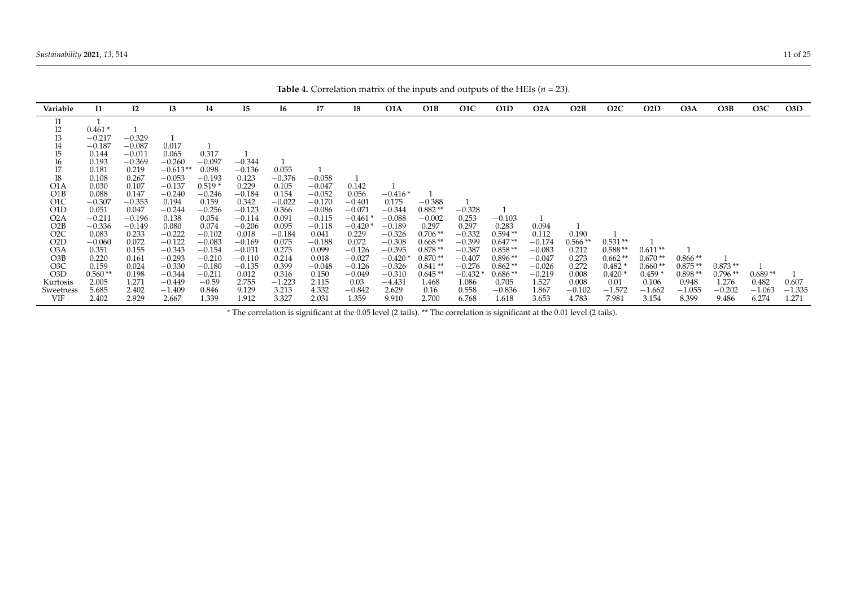| Variable         | I1        | I2       | <b>I3</b>  | 14       | I5       | I6       | Ι7       | 18        | O1A       | O1B       | O <sub>1</sub> C | O1D       | O <sub>2</sub> A | O2B       | O <sub>2</sub> C | O <sub>2</sub> D | O3A       | O3B       | O <sub>3</sub> C | O3D      |
|------------------|-----------|----------|------------|----------|----------|----------|----------|-----------|-----------|-----------|------------------|-----------|------------------|-----------|------------------|------------------|-----------|-----------|------------------|----------|
| I1               |           |          |            |          |          |          |          |           |           |           |                  |           |                  |           |                  |                  |           |           |                  |          |
| I2               | $0.461*$  |          |            |          |          |          |          |           |           |           |                  |           |                  |           |                  |                  |           |           |                  |          |
| <b>I3</b>        | $-0.217$  | $-0.329$ |            |          |          |          |          |           |           |           |                  |           |                  |           |                  |                  |           |           |                  |          |
| I4               | $-0.187$  | $-0.087$ | 0.017      |          |          |          |          |           |           |           |                  |           |                  |           |                  |                  |           |           |                  |          |
| I5               | 0.144     | $-0.011$ | 0.065      | 0.317    |          |          |          |           |           |           |                  |           |                  |           |                  |                  |           |           |                  |          |
| <b>I6</b>        | 0.193     | $-0.369$ | $-0.260$   | $-0.097$ | $-0.344$ |          |          |           |           |           |                  |           |                  |           |                  |                  |           |           |                  |          |
| I7               | 0.181     | 0.219    | $-0.613**$ | 0.098    | $-0.136$ | 0.055    |          |           |           |           |                  |           |                  |           |                  |                  |           |           |                  |          |
| ${\rm I}8$       | 0.108     | 0.267    | $-0.053$   | $-0.193$ | 0.123    | $-0.376$ | $-0.058$ |           |           |           |                  |           |                  |           |                  |                  |           |           |                  |          |
| O1A              | 0.030     | 0.107    | $-0.137$   | $0.519*$ | 0.229    | 0.105    | $-0.047$ | 0.142     |           |           |                  |           |                  |           |                  |                  |           |           |                  |          |
| O1B              | 0.088     | 0.147    | $-0.240$   | $-0.246$ | $-0.184$ | 0.154    | $-0.052$ | 0.056     | $-0.416*$ |           |                  |           |                  |           |                  |                  |           |           |                  |          |
| O <sub>1</sub> C | $-0.307$  | $-0.353$ | 0.194      | 0.159    | 0.342    | $-0.022$ | $-0.170$ | $-0.401$  | 0.175     | $-0.388$  |                  |           |                  |           |                  |                  |           |           |                  |          |
| O1D              | 0.051     | 0.047    | $-0.244$   | $-0.256$ | $-0.123$ | 0.366    | $-0.086$ | $-0.071$  | $-0.344$  | $0.882**$ | $-0.328$         |           |                  |           |                  |                  |           |           |                  |          |
| O <sub>2</sub> A | $-0.211$  | $-0.196$ | 0.138      | 0.054    | $-0.114$ | 0.091    | $-0.115$ | $-0.461$  | $-0.088$  | $-0.002$  | 0.253            | $-0.103$  |                  |           |                  |                  |           |           |                  |          |
| O2B              | $-0.336$  | $-0.149$ | 0.080      | 0.074    | $-0.206$ | 0.095    | $-0.118$ | $-0.420*$ | $-0.189$  | 0.297     | 0.297            | 0.283     | 0.094            |           |                  |                  |           |           |                  |          |
| O <sub>2</sub> C | 0.083     | 0.233    | $-0.222$   | $-0.102$ | 0.018    | $-0.184$ | 0.041    | 0.229     | $-0.326$  | $0.706**$ | $-0.332$         | $0.594**$ | 0.112            | 0.190     |                  |                  |           |           |                  |          |
| O <sub>2</sub> D | $-0.060$  | 0.072    | $-0.122$   | $-0.083$ | $-0.169$ | 0.075    | $-0.188$ | 0.072     | $-0.308$  | $0.668**$ | $-0.399$         | $0.647**$ | $-0.174$         | $0.566**$ | $0.531**$        |                  |           |           |                  |          |
| O3A              | 0.351     | 0.155    | $-0.343$   | $-0.154$ | $-0.031$ | 0.275    | 0.099    | $-0.126$  | $-0.395$  | $0.878**$ | $-0.387$         | $0.858**$ | $-0.083$         | 0.212     | $0.588**$        | $0.611**$        |           |           |                  |          |
| O3B              | 0.220     | 0.161    | $-0.293$   | $-0.210$ | $-0.110$ | 0.214    | 0.018    | $-0.027$  | $-0.420$  | $0.870**$ | $-0.407$         | $0.896**$ | $-0.047$         | 0.273     | $0.662**$        | $0.670**$        | $0.866**$ |           |                  |          |
| O <sub>3</sub> C | 0.159     | 0.024    | $-0.330$   | $-0.180$ | $-0.135$ | 0.399    | $-0.048$ | $-0.126$  | $-0.326$  | $0.841**$ | $-0.276$         | $0.862**$ | $-0.026$         | 0.272     | $0.482*$         | $0.660**$        | $0.875**$ | $0.873**$ |                  |          |
| O <sub>3</sub> D | $0.560**$ | 0.198    | $-0.344$   | $-0.211$ | 0.012    | 0.316    | 0.150    | $-0.049$  | $-0.310$  | $0.645**$ | $-0.432$         | $0.686**$ | $-0.219$         | 0.008     | $0.420*$         | $0.459*$         | $0.898**$ | $0.796**$ | $0.689**$        |          |
| Kurtosis         | 2.005     | 1.271    | $-0.449$   | $-0.59$  | 2.755    | $-1.223$ | 2.115    | 0.03      | $-4.431$  | 1.468     | 1.086            | 0.705     | 1.527            | 0.008     | 0.01             | 0.106            | 0.948     | 1.276     | 0.482            | 0.607    |
| Sweetness        | 5.685     | 2.402    | $-1.409$   | 0.846    | 9.129    | 3.213    | 4.332    | $-0.842$  | 2.629     | 0.16      | 0.558            | $-0.836$  | 1.867            | $-0.102$  | $-1.572$         | $-1.662$         | $-1.055$  | $-0.202$  | $-1.063$         | $-1.335$ |
| VIF              | 2.402     | 2.929    | 2.667      | 1.339    | 1.912    | 3.327    | 2.031    | 1.359     | 9.910     | 2.700     | 6.768            | 1.618     | 3.653            | 4.783     | 7.981            | 3.154            | 8.399     | 9.486     | 6.274            | 1.271    |

**Table 4.** Correlation matrix of the inputs and outputs of the HEIs ( $n = 23$ ).

<span id="page-10-0"></span>\* The correlation is significant at the 0.05 level (2 tails). \*\* The correlation is significant at the 0.01 level (2 tails).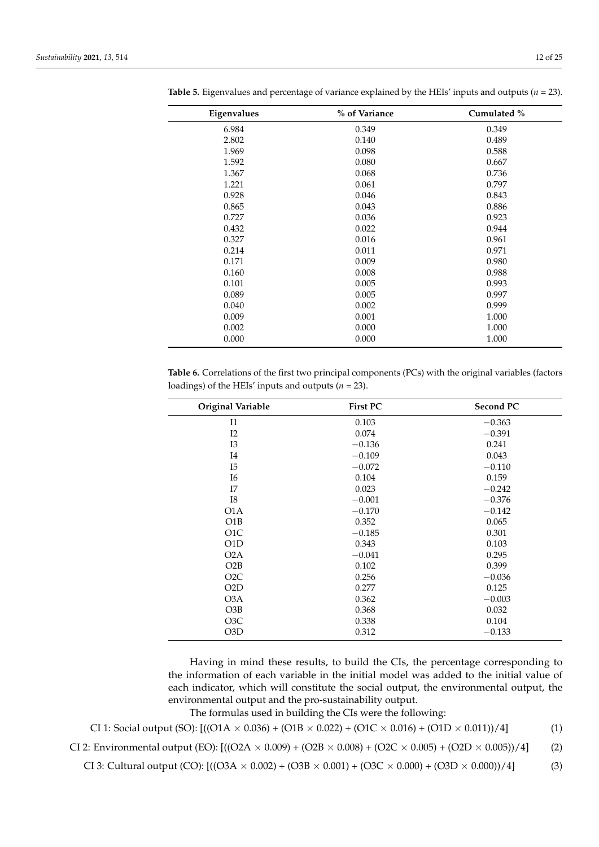$\overline{\phantom{0}}$ 

| Eigenvalues | % of Variance | Cumulated % |
|-------------|---------------|-------------|
| 6.984       | 0.349         | 0.349       |
| 2.802       | 0.140         | 0.489       |
| 1.969       | 0.098         | 0.588       |
| 1.592       | 0.080         | 0.667       |
| 1.367       | 0.068         | 0.736       |
| 1.221       | 0.061         | 0.797       |
| 0.928       | 0.046         | 0.843       |
| 0.865       | 0.043         | 0.886       |
| 0.727       | 0.036         | 0.923       |
| 0.432       | 0.022         | 0.944       |
| 0.327       | 0.016         | 0.961       |
| 0.214       | 0.011         | 0.971       |
| 0.171       | 0.009         | 0.980       |
| 0.160       | 0.008         | 0.988       |
| 0.101       | 0.005         | 0.993       |
| 0.089       | 0.005         | 0.997       |
| 0.040       | 0.002         | 0.999       |
| 0.009       | 0.001         | 1.000       |
| 0.002       | 0.000         | 1.000       |
| 0.000       | 0.000         | 1.000       |

<span id="page-11-0"></span>**Table 5.** Eigenvalues and percentage of variance explained by the HEIs' inputs and outputs ( $n = 23$ ).

<span id="page-11-1"></span>**Table 6.** Correlations of the first two principal components (PCs) with the original variables (factors loadings) of the HEIs' inputs and outputs  $(n = 23)$ .

| Original Variable | <b>First PC</b> | <b>Second PC</b> |
|-------------------|-----------------|------------------|
| I1                | 0.103           | $-0.363$         |
| I2                | 0.074           | $-0.391$         |
| I3                | $-0.136$        | 0.241            |
| I4                | $-0.109$        | 0.043            |
| I5                | $-0.072$        | $-0.110$         |
| <b>I6</b>         | 0.104           | 0.159            |
| I7                | 0.023           | $-0.242$         |
| I8                | $-0.001$        | $-0.376$         |
| O1A               | $-0.170$        | $-0.142$         |
| O1B               | 0.352           | 0.065            |
| O <sub>1</sub> C  | $-0.185$        | 0.301            |
| O1D               | 0.343           | 0.103            |
| O <sub>2</sub> A  | $-0.041$        | 0.295            |
| O2B               | 0.102           | 0.399            |
| O <sub>2</sub> C  | 0.256           | $-0.036$         |
| O2D               | 0.277           | 0.125            |
| O3A               | 0.362           | $-0.003$         |
| O3B               | 0.368           | 0.032            |
| O <sub>3</sub> C  | 0.338           | 0.104            |
| O3D               | 0.312           | $-0.133$         |

Having in mind these results, to build the CIs, the percentage corresponding to the information of each variable in the initial model was added to the initial value of each indicator, which will constitute the social output, the environmental output, the environmental output and the pro-sustainability output.

The formulas used in building the CIs were the following:

CI 1: Social output (SO):  $[((O1A \times 0.036) + (O1B \times 0.022) + (O1C \times 0.016) + (O1D \times 0.011))/4]$  (1)

CI 2: Environmental output (EO):  $[((O2A \times 0.009) + (O2B \times 0.008) + (O2C \times 0.005) + (O2D \times 0.005))/4]$  (2)

CI 3: Cultural output (CO):  $[((O3A \times 0.002) + (O3B \times 0.001) + (O3C \times 0.000) + (O3D \times 0.000))/4]$  (3)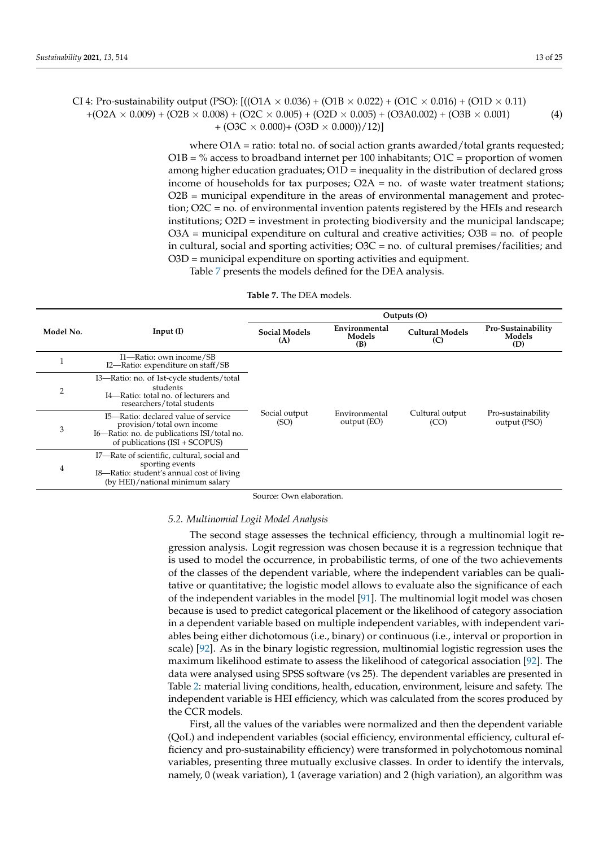CI 4: Pro-sustainability output (PSO):  $[((O1A \times 0.036) + (O1B \times 0.022) + (O1C \times 0.016) + (O1D \times 0.11)]$  $+(O2A \times 0.009) + (O2B \times 0.008) + (O2C \times 0.005) + (O2D \times 0.005) + (O3A0.002) + (O3B \times 0.001)$ +  $(O3C \times 0.000)$ +  $(O3D \times 0.000)$  $/12$ ] (4)

> where  $O1A$  = ratio: total no. of social action grants awarded/total grants requested;  $O1B = \%$  access to broadband internet per 100 inhabitants;  $O1C =$  proportion of women among higher education graduates; O1D = inequality in the distribution of declared gross income of households for tax purposes;  $O2A =$  no. of waste water treatment stations; O2B = municipal expenditure in the areas of environmental management and protection; O2C = no. of environmental invention patents registered by the HEIs and research institutions; O2D = investment in protecting biodiversity and the municipal landscape;  $O3A$  = municipal expenditure on cultural and creative activities;  $O3B$  = no. of people in cultural, social and sporting activities; O3C = no. of cultural premises/facilities; and O3D = municipal expenditure on sporting activities and equipment.

Table [7](#page-12-0) presents the models defined for the DEA analysis.

<span id="page-12-0"></span>

|           |                                                                                                                                                    |                             | Outputs (O)                    |                               |                                     |  |  |  |  |
|-----------|----------------------------------------------------------------------------------------------------------------------------------------------------|-----------------------------|--------------------------------|-------------------------------|-------------------------------------|--|--|--|--|
| Model No. | Input $(I)$                                                                                                                                        | <b>Social Models</b><br>(A) | Environmental<br>Models<br>(B) | <b>Cultural Models</b><br>(C) | Pro-Sustainability<br>Models<br>(D) |  |  |  |  |
|           | I1—Ratio: own income/SB<br>I2—Ratio: expenditure on staff/SB                                                                                       |                             |                                |                               |                                     |  |  |  |  |
| 2         | I3-Ratio: no. of 1st-cycle students/total<br>students<br>I4-Ratio: total no. of lecturers and<br>researchers/total students                        |                             |                                |                               |                                     |  |  |  |  |
| 3         | I5-Ratio: declared value of service<br>provision/total own income<br>I6—Ratio: no. de publications ISI/total no.<br>of publications (ISI + SCOPUS) | Social output<br>(SO)       | Environmental<br>output (EO)   | Cultural output<br>(CO)       | Pro-sustainability<br>output (PSO)  |  |  |  |  |
| 4         | I7—Rate of scientific, cultural, social and<br>sporting events<br>I8—Ratio: student's annual cost of living<br>(by HEI)/national minimum salary    |                             |                                |                               |                                     |  |  |  |  |

#### **Table 7.** The DEA models.

Source: Own elaboration.

## *5.2. Multinomial Logit Model Analysis*

The second stage assesses the technical efficiency, through a multinomial logit regression analysis. Logit regression was chosen because it is a regression technique that is used to model the occurrence, in probabilistic terms, of one of the two achievements of the classes of the dependent variable, where the independent variables can be qualitative or quantitative; the logistic model allows to evaluate also the significance of each of the independent variables in the model [\[91\]](#page-24-10). The multinomial logit model was chosen because is used to predict categorical placement or the likelihood of category association in a dependent variable based on multiple independent variables, with independent variables being either dichotomous (i.e., binary) or continuous (i.e., interval or proportion in scale) [\[92\]](#page-24-11). As in the binary logistic regression, multinomial logistic regression uses the maximum likelihood estimate to assess the likelihood of categorical association [\[92\]](#page-24-11). The data were analysed using SPSS software (vs 25). The dependent variables are presented in Table [2:](#page-8-0) material living conditions, health, education, environment, leisure and safety. The independent variable is HEI efficiency, which was calculated from the scores produced by the CCR models.

First, all the values of the variables were normalized and then the dependent variable (QoL) and independent variables (social efficiency, environmental efficiency, cultural efficiency and pro-sustainability efficiency) were transformed in polychotomous nominal variables, presenting three mutually exclusive classes. In order to identify the intervals, namely, 0 (weak variation), 1 (average variation) and 2 (high variation), an algorithm was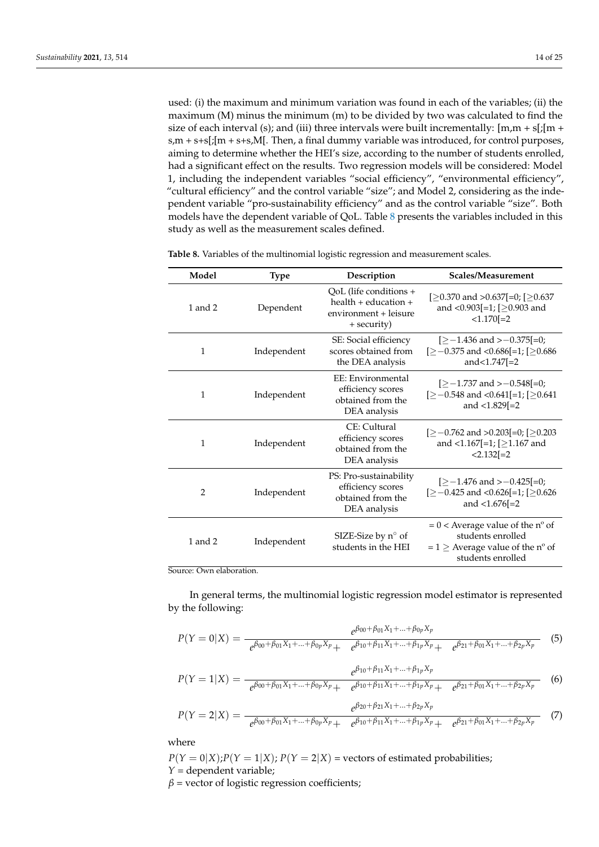used: (i) the maximum and minimum variation was found in each of the variables; (ii) the maximum (M) minus the minimum (m) to be divided by two was calculated to find the size of each interval (s); and (iii) three intervals were built incrementally:  $[m,m + s][m + s]$ s,m + s+s[;[m + s+s,M[. Then, a final dummy variable was introduced, for control purposes, aiming to determine whether the HEI's size, according to the number of students enrolled, had a significant effect on the results. Two regression models will be considered: Model 1, including the independent variables "social efficiency", "environmental efficiency", "cultural efficiency" and the control variable "size"; and Model 2, considering as the independent variable "pro-sustainability efficiency" and as the control variable "size". Both models have the dependent variable of QoL. Table [8](#page-13-0) presents the variables included in this study as well as the measurement scales defined.

| Model         | <b>Type</b> | Description                                                                                | Scales/Measurement                                                                                                    |
|---------------|-------------|--------------------------------------------------------------------------------------------|-----------------------------------------------------------------------------------------------------------------------|
| 1 and $2$     | Dependent   | QoL (life conditions +<br>health $+$ education $+$<br>environment + leisure<br>+ security) | [ $\geq$ 0.370 and $>$ 0.637[=0; [ $\geq$ 0.637<br>and <0.903[=1; [ $\geq$ 0.903 and<br>$<1.170$ [ $=2$ ]             |
| $\mathbf{1}$  | Independent | SE: Social efficiency<br>scores obtained from<br>the DEA analysis                          | $[-1.436$ and $\geq -0.375$ [=0;<br>$[\geq -0.375$ and <0.686[=1; [ $\geq 0.686$ ]<br>and< $1.747$ [= $2$             |
| 1             | Independent | EE: Environmental<br>efficiency scores<br>obtained from the<br>DEA analysis                | $[-1.737 \text{ and } -0.548] = 0;$<br>$[\geq -0.548$ and <0.641[=1; [ $\geq 0.641$ ]<br>and $\langle 1.829[-2]$      |
| 1             | Independent | CE: Cultural<br>efficiency scores<br>obtained from the<br>DEA analysis                     | $[\geq -0.762$ and $>0.203$ [=0; [ $\geq 0.203$ ]<br>and <1.167[=1; [ $\geq$ 1.167 and<br>$< 2.132[-2]$               |
| $\mathcal{P}$ | Independent | PS: Pro-sustainability<br>efficiency scores<br>obtained from the<br>DEA analysis           | $[\geq -1.476$ and $> -0.425$ [=0;<br>$[\geq -0.425$ and <0.626[=1; [ $\geq 0.626$ ]<br>and $<$ 1.676[=2              |
| $1$ and $2$   | Independent | SIZE-Size by $n^{\circ}$ of<br>students in the HEI                                         | $= 0$ < Average value of the n° of<br>students enrolled<br>$= 1 \geq$ Average value of the n° of<br>students enrolled |

<span id="page-13-0"></span>**Table 8.** Variables of the multinomial logistic regression and measurement scales.

Source: Own elaboration.

In general terms, the multinomial logistic regression model estimator is represented by the following:

$$
P(Y=0|X) = \frac{e^{\beta_{00} + \beta_{01}X_1 + \dots + \beta_{0p}X_p}}{e^{\beta_{00} + \beta_{01}X_1 + \dots + \beta_{0p}X_p} + e^{\beta_{10} + \beta_{11}X_1 + \dots + \beta_{1p}X_p} + e^{\beta_{21} + \beta_{01}X_1 + \dots + \beta_{2p}X_p}}
$$
(5)

$$
P(Y=1|X) = \frac{e^{\beta_{10} + \beta_{11}X_1 + \dots + \beta_{1p}X_p}}{e^{\beta_{00} + \beta_{01}X_1 + \dots + \beta_{0p}X_p} + e^{\beta_{10} + \beta_{11}X_1 + \dots + \beta_{1p}X_p} + e^{\beta_{21} + \beta_{01}X_1 + \dots + \beta_{2p}X_p}}
$$
(6)

$$
P(Y=2|X) = \frac{e^{\beta_{20} + \beta_{21}X_1 + \dots + \beta_{2p}X_p}}{e^{\beta_{00} + \beta_{01}X_1 + \dots + \beta_{0p}X_p} + e^{\beta_{10} + \beta_{11}X_1 + \dots + \beta_{1p}X_p} + e^{\beta_{21} + \beta_{01}X_1 + \dots + \beta_{2p}X_p}}
$$
(7)

where

 $P(Y = 0|X); P(Y = 1|X); P(Y = 2|X)$  = vectors of estimated probabilities; *Y* = dependent variable;

 $\beta$  = vector of logistic regression coefficients;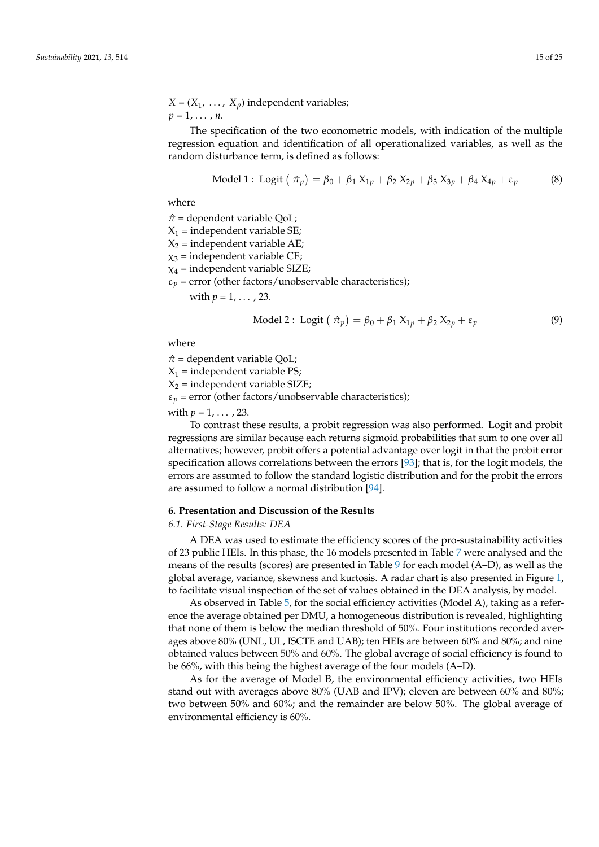$X = (X_1, \ldots, X_p)$  independent variables;  $p = 1, \ldots, n$ .

The specification of the two econometric models, with indication of the multiple regression equation and identification of all operationalized variables, as well as the random disturbance term, is defined as follows:

Model 1: Logit 
$$
(\hat{\pi}_p) = \beta_0 + \beta_1 X_{1p} + \beta_2 X_{2p} + \beta_3 X_{3p} + \beta_4 X_{4p} + \varepsilon_p
$$
 (8)

where

 $π = dependent variable QoL;$ 

 $X_1$  = independent variable SE;

 $X_2$  = independent variable AE;

- $\chi_3$  = independent variable CE;
- $\chi_4$  = independent variable SIZE;

 $\varepsilon_p$  = error (other factors/unobservable characteristics);

with  $p = 1, \ldots, 23$ .

Model 2: Logit 
$$
( \hat{\pi}_p ) = \beta_0 + \beta_1 X_{1p} + \beta_2 X_{2p} + \varepsilon_p
$$
 (9)

where

 $π = dependent variable QoL;$  $X_1$  = independent variable PS;  $X_2$  = independent variable SIZE;  $\varepsilon_p$  = error (other factors/unobservable characteristics); with  $p = 1, \ldots, 23$ .

To contrast these results, a probit regression was also performed. Logit and probit regressions are similar because each returns sigmoid probabilities that sum to one over all alternatives; however, probit offers a potential advantage over logit in that the probit error specification allows correlations between the errors [\[93\]](#page-24-12); that is, for the logit models, the errors are assumed to follow the standard logistic distribution and for the probit the errors are assumed to follow a normal distribution [\[94\]](#page-24-13).

## **6. Presentation and Discussion of the Results**

## *6.1. First-Stage Results: DEA*

A DEA was used to estimate the efficiency scores of the pro-sustainability activities of 23 public HEIs. In this phase, the 16 models presented in Table [7](#page-12-0) were analysed and the means of the results (scores) are presented in Table [9](#page-15-0) for each model (A–D), as well as the global average, variance, skewness and kurtosis. A radar chart is also presented in Figure [1,](#page-15-1) to facilitate visual inspection of the set of values obtained in the DEA analysis, by model.

As observed in Table [5,](#page-11-0) for the social efficiency activities (Model A), taking as a reference the average obtained per DMU, a homogeneous distribution is revealed, highlighting that none of them is below the median threshold of 50%. Four institutions recorded averages above 80% (UNL, UL, ISCTE and UAB); ten HEIs are between 60% and 80%; and nine obtained values between 50% and 60%. The global average of social efficiency is found to be 66%, with this being the highest average of the four models (A–D).

As for the average of Model B, the environmental efficiency activities, two HEIs stand out with averages above 80% (UAB and IPV); eleven are between 60% and 80%; two between 50% and 60%; and the remainder are below 50%. The global average of environmental efficiency is 60%.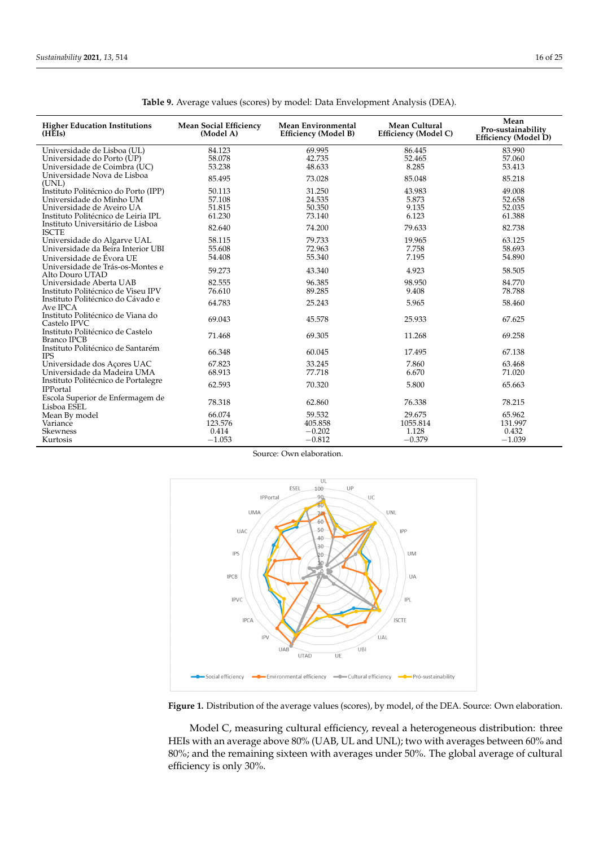<span id="page-15-0"></span>

| <b>Higher Education Institutions</b><br>(HEEs)                                                                                       | <b>Mean Social Efficiency</b><br>(Model A) | <b>Mean Environmental</b><br><b>Efficiency (Model B)</b> | Mean Cultural<br><b>Efficiency (Model C)</b> | Mean<br>Pro-sustainability<br>Efficiency (Model D) |
|--------------------------------------------------------------------------------------------------------------------------------------|--------------------------------------------|----------------------------------------------------------|----------------------------------------------|----------------------------------------------------|
| Universidade de Lisboa (UL)<br>Universidade do Porto (UP)<br>Universidade de Coimbra (UC)                                            | 84.123<br>58.078<br>53.238                 | 69.995<br>42.735<br>48.633                               | 86.445<br>52.465<br>8.285                    | 83.990<br>57.060<br>53.413                         |
| Universidade Nova de Lisboa<br>(UNL)                                                                                                 | 85.495                                     | 73.028                                                   | 85.048                                       | 85.218                                             |
| Instituto Politécnico do Porto (IPP)<br>Universidade do Minho UM<br>Universidade de Aveiro UA<br>Instituto Politécnico de Leiria IPL | 50.113<br>57.108<br>51.815<br>61.230       | 31.250<br>24.535<br>50.350<br>73.140                     | 43.983<br>5.873<br>9.135<br>6.123            | 49.008<br>52.658<br>52.035<br>61.388               |
| Instituto Universitário de Lisboa<br><b>ISCTE</b>                                                                                    | 82.640                                     | 74.200                                                   | 79.633                                       | 82.738                                             |
| Universidade do Algarve UAL<br>Universidade da Beira Interior UBI                                                                    | 58.115<br>55.608<br>54.408                 | 79.733<br>72.963<br>55.340                               | 19.965<br>7.758<br>7.195                     | 63.125<br>58.693<br>54.890                         |
| Universidade de Évora UE<br>Universidade de Trás-os-Montes e<br>Alto Douro UTAD                                                      | 59.273                                     | 43.340                                                   | 4.923                                        | 58.505                                             |
| Universidade Aberta UAB<br>Instituto Politécnico de Viseu IPV                                                                        | 82.555<br>76.610                           | 96.385<br>89.285                                         | 98.950<br>9.408                              | 84.770<br>78.788                                   |
| Instituto Politécnico do Cávado e<br>Ave IPCA                                                                                        | 64.783                                     | 25.243                                                   | 5.965                                        | 58.460                                             |
| Instituto Politécnico de Viana do<br>Castelo IPVC                                                                                    | 69.043                                     | 45.578                                                   | 25.933                                       | 67.625                                             |
| Instituto Politécnico de Castelo<br>Branco IPCB                                                                                      | 71.468                                     | 69.305                                                   | 11.268                                       | 69.258                                             |
| Instituto Politécnico de Santarém<br><b>IPS</b>                                                                                      | 66.348                                     | 60.045                                                   | 17.495                                       | 67.138                                             |
| Universidade dos Açores UAC<br>Universidade da Madeira UMA                                                                           | 67.823<br>68.913                           | 33.245<br>77.718                                         | 7.860<br>6.670                               | 63.468<br>71.020                                   |
| Instituto Politécnico de Portalegre<br><b>IPPortal</b>                                                                               | 62.593                                     | 70.320                                                   | 5.800                                        | 65.663                                             |
| Escola Superior de Enfermagem de<br>Lisboa ESEL                                                                                      | 78.318                                     | 62.860                                                   | 76.338                                       | 78.215                                             |
| Mean By model<br>Variance                                                                                                            | 66.074<br>123.576                          | 59.532<br>405.858                                        | 29.675<br>1055.814                           | 65.962<br>131.997                                  |
| <b>Skewness</b><br>Kurtosis                                                                                                          | 0.414<br>$-1.053$                          | $-0.202$<br>$-0.812$                                     | 1.128<br>$-0.379$                            | 0.432<br>$-1.039$                                  |

**Table 9.** Average values (scores) by model: Data Envelopment Analysis (DEA).

Source: Own elaboration.

<span id="page-15-1"></span>

Figure 1. Distribution of the average values (scores), by model, of the DEA. Source: Own elaboration.

HEIs with an average above 80% (UAB, UL and UNL); two with averages between 60% and 80%; and the remaining sixteen with averages under 50%. The global average of cultural efficiency is only 30%. Four institutions recorded of 50%. Model C, measuring cultural efficiency, reveal a heterogeneous distribution: three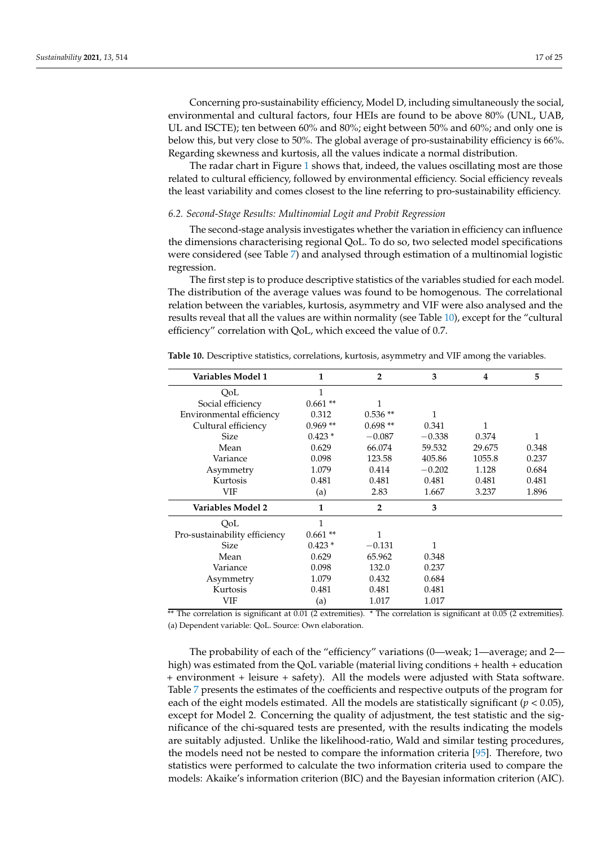Concerning pro-sustainability efficiency, Model D, including simultaneously the social, environmental and cultural factors, four HEIs are found to be above 80% (UNL, UAB, UL and ISCTE); ten between 60% and 80%; eight between 50% and 60%; and only one is below this, but very close to 50%. The global average of pro-sustainability efficiency is 66%. Regarding skewness and kurtosis, all the values indicate a normal distribution.

The radar chart in Figure [1](#page-15-1) shows that, indeed, the values oscillating most are those related to cultural efficiency, followed by environmental efficiency. Social efficiency reveals the least variability and comes closest to the line referring to pro-sustainability efficiency.

## *6.2. Second-Stage Results: Multinomial Logit and Probit Regression*

The second-stage analysis investigates whether the variation in efficiency can influence the dimensions characterising regional QoL. To do so, two selected model specifications were considered (see Table [7\)](#page-12-0) and analysed through estimation of a multinomial logistic regression.

The first step is to produce descriptive statistics of the variables studied for each model. The distribution of the average values was found to be homogenous. The correlational relation between the variables, kurtosis, asymmetry and VIF were also analysed and the results reveal that all the values are within normality (see Table [10\)](#page-16-0), except for the "cultural efficiency" correlation with QoL, which exceed the value of 0.7.

| Variables Model 1             | 1         | $\overline{2}$ | 3        | 4      | 5     |
|-------------------------------|-----------|----------------|----------|--------|-------|
| OoL                           |           |                |          |        |       |
| Social efficiency             | $0.661**$ | 1              |          |        |       |
| Environmental efficiency      | 0.312     | $0.536**$      | 1        |        |       |
| Cultural efficiency           | $0.969**$ | $0.698**$      | 0.341    | 1      |       |
| Size                          | $0.423*$  | $-0.087$       | $-0.338$ | 0.374  | 1     |
| Mean                          | 0.629     | 66.074         | 59.532   | 29.675 | 0.348 |
| Variance                      | 0.098     | 123.58         | 405.86   | 1055.8 | 0.237 |
| Asymmetry                     | 1.079     | 0.414          | $-0.202$ | 1.128  | 0.684 |
| Kurtosis                      | 0.481     | 0.481          | 0.481    | 0.481  | 0.481 |
| VIF                           | (a)       | 2.83           | 1.667    | 3.237  | 1.896 |
| Variables Model 2             | 1         | $\overline{2}$ | 3        |        |       |
| QoL                           | 1         |                |          |        |       |
| Pro-sustainability efficiency | $0.661**$ | 1              |          |        |       |
| Size                          | $0.423*$  | $-0.131$       | 1        |        |       |
| Mean                          | 0.629     | 65.962         | 0.348    |        |       |
| Variance                      | 0.098     | 132.0          | 0.237    |        |       |
| Asymmetry                     | 1.079     | 0.432          | 0.684    |        |       |
| Kurtosis                      | 0.481     | 0.481          | 0.481    |        |       |
| VIF                           | (a)       | 1.017          | 1.017    |        |       |

<span id="page-16-0"></span>**Table 10.** Descriptive statistics, correlations, kurtosis, asymmetry and VIF among the variables.

\*\* The correlation is significant at 0.01 (2 extremities). \* The correlation is significant at 0.05 (2 extremities). (a) Dependent variable: QoL. Source: Own elaboration.

The probability of each of the "efficiency" variations (0—weak; 1—average; and 2 high) was estimated from the QoL variable (material living conditions + health + education + environment + leisure + safety). All the models were adjusted with Stata software. Table [7](#page-12-0) presents the estimates of the coefficients and respective outputs of the program for each of the eight models estimated. All the models are statistically significant ( $p < 0.05$ ), except for Model 2. Concerning the quality of adjustment, the test statistic and the significance of the chi-squared tests are presented, with the results indicating the models are suitably adjusted. Unlike the likelihood-ratio, Wald and similar testing procedures, the models need not be nested to compare the information criteria [\[95\]](#page-24-14). Therefore, two statistics were performed to calculate the two information criteria used to compare the models: Akaike's information criterion (BIC) and the Bayesian information criterion (AIC).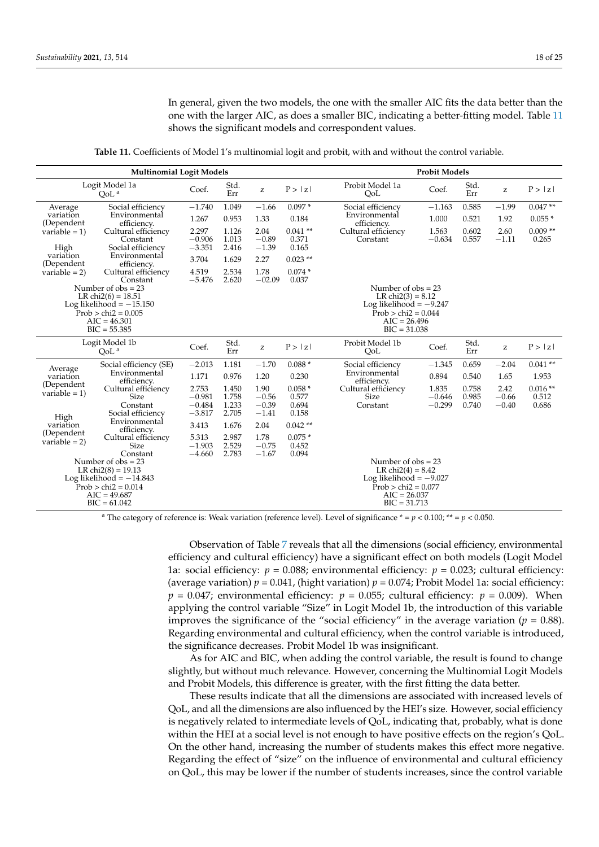In general, given the two models, the one with the smaller AIC fits the data better than the one with the larger AIC, as does a smaller BIC, indicating a better-fitting model. Table [11](#page-17-0) shows the significant models and correspondent values.

**Table 11.** Coefficients of Model 1's multinomial logit and probit, with and without the control variable.

<span id="page-17-0"></span>

|                                                                                                                                          | <b>Multinomial Logit Models</b>                              |                                           | <b>Probit Models</b>             |                                                       |                                                                                                                                        |                                                                                                                                        |                               |                         |                                                       |                             |
|------------------------------------------------------------------------------------------------------------------------------------------|--------------------------------------------------------------|-------------------------------------------|----------------------------------|-------------------------------------------------------|----------------------------------------------------------------------------------------------------------------------------------------|----------------------------------------------------------------------------------------------------------------------------------------|-------------------------------|-------------------------|-------------------------------------------------------|-----------------------------|
|                                                                                                                                          | Logit Model 1a<br>QoL <sup>a</sup>                           | Coef.                                     | Std.<br>Err                      | $\mathbf{Z}% ^{T}=\mathbf{Z}^{T}\times\mathbf{Z}^{T}$ | P >  z                                                                                                                                 | Probit Model 1a<br>QoL                                                                                                                 | Coef.                         | Std.<br>Err             | $\mathbf{Z}% ^{T}=\mathbf{Z}^{T}\times\mathbf{Z}^{T}$ | P >  z                      |
| Average                                                                                                                                  | Social efficiency                                            | $-1.740$                                  | 1.049                            | $-1.66$                                               | $0.097*$                                                                                                                               | Social efficiency                                                                                                                      | $-1.163$                      | 0.585                   | $-1.99$                                               | $0.047**$                   |
| variation<br>(Dependent                                                                                                                  | Environmental<br>efficiency.                                 | 1.267                                     | 0.953                            | 1.33                                                  | 0.184                                                                                                                                  | Environmental<br>efficiency.                                                                                                           | 1.000                         | 0.521                   | 1.92                                                  | $0.055*$                    |
| variable = $1$ )<br>High                                                                                                                 | Cultural efficiency<br>Constant<br>Social efficiency         | 2.297<br>$-0.906$<br>$-3.351$             | 1.126<br>1.013<br>2.416          | 2.04<br>$-0.89$<br>$-1.39$                            | $0.041**$<br>0.371<br>0.165                                                                                                            | Cultural efficiency<br>Constant                                                                                                        | 1.563<br>$-0.634$             | 0.602<br>0.557          | 2.60<br>$-1.11$                                       | $0.009**$<br>0.265          |
| variation                                                                                                                                | Environmental                                                | 3.704                                     | 1.629                            | 2.27                                                  | $0.023$ **                                                                                                                             |                                                                                                                                        |                               |                         |                                                       |                             |
| (Dependent<br>variable $= 2$ )                                                                                                           | efficiency.<br>Cultural efficiency<br>Constant               | 4.519<br>$-5.476$                         | 2.534<br>2.620                   | 1.78<br>$-02.09$                                      | $0.074*$<br>0.037                                                                                                                      |                                                                                                                                        |                               |                         |                                                       |                             |
| Number of $obs = 23$<br>LR chi $2(6) = 18.51$<br>Log likelihood $= -15.150$<br>$Prob > chi2 = 0.005$<br>$AIC = 46,301$<br>$BIC = 55.385$ |                                                              |                                           |                                  |                                                       | Number of $obs = 23$<br>LR chi $2(3) = 8.12$<br>Log likelihood $= -9.247$<br>$Prob > chi2 = 0.044$<br>$AIC = 26.496$<br>$BIC = 31.038$ |                                                                                                                                        |                               |                         |                                                       |                             |
| Logit Model 1b<br>OoL <sup>a</sup>                                                                                                       |                                                              | Coef.                                     | Std.<br>Err                      | $\mathbf{Z}% ^{T}=\mathbf{Z}^{T}\times\mathbf{Z}^{T}$ | P >  z                                                                                                                                 | Probit Model 1b<br>QoL                                                                                                                 | Coef.                         | Std.<br>Err             | $\mathbf{Z}% ^{T}=\mathbf{Z}^{T}\times\mathbf{Z}^{T}$ | P >  z                      |
| Average                                                                                                                                  | Social efficiency (SE)                                       | $-2.013$                                  | 1.181                            | $-1.70$                                               | $0.088*$                                                                                                                               | Social efficiency                                                                                                                      | $-1.345$                      | 0.659                   | $-2.04$                                               | $0.041$ **                  |
| variation                                                                                                                                | Environmental<br>efficiency.                                 | 1.171                                     | 0.976                            | 1.20                                                  | 0.230                                                                                                                                  | Environmental<br>efficiency.                                                                                                           | 0.894                         | 0.540                   | 1.65                                                  | 1.953                       |
| (Dependent<br>variable = $1$ )<br>High                                                                                                   | Cultural efficiency<br>Size<br>Constant<br>Social efficiency | 2.753<br>$-0.981$<br>$-0.484$<br>$-3.817$ | 1.450<br>1.758<br>1.233<br>2.705 | 1.90<br>$-0.56$<br>$-0.39$<br>$-1.41$                 | $0.058*$<br>0.577<br>0.694<br>0.158                                                                                                    | Cultural efficiency<br>Size<br>Constant                                                                                                | 1.835<br>$-0.646$<br>$-0.299$ | 0.758<br>0.985<br>0.740 | 2.42<br>$-0.66$<br>$-0.40$                            | $0.016**$<br>0.512<br>0.686 |
| variation                                                                                                                                | Environmental<br>efficiency.                                 | 3.413                                     | 1.676                            | 2.04                                                  | $0.042**$                                                                                                                              |                                                                                                                                        |                               |                         |                                                       |                             |
| (Dependent<br>variable $= 2$ )                                                                                                           | Cultural efficiency<br><b>Size</b><br>Constant               | 5.313<br>$-1.903$<br>$-4.660$             | 2.987<br>2.529<br>2.783          | 1.78<br>$-0.75$<br>$-1.67$                            | $0.075*$<br>0.452<br>0.094                                                                                                             |                                                                                                                                        |                               |                         |                                                       |                             |
| Number of $obs = 23$<br>LR chi $2(8) = 19.13$<br>Log likelihood $= -14.843$<br>$Prob > chi2 = 0.014$<br>$AIC = 49.687$<br>$BIC = 61.042$ |                                                              |                                           |                                  |                                                       |                                                                                                                                        | Number of $obs = 23$<br>LR chi $2(4) = 8.42$<br>Log likelihood $= -9.027$<br>$Prob > chi2 = 0.077$<br>$AIC = 26.037$<br>$BIC = 31.713$ |                               |                         |                                                       |                             |

<sup>a</sup> The category of reference is: Weak variation (reference level). Level of significance  $* = p < 0.100$ ; \*\*  $= p < 0.050$ .

Observation of Table [7](#page-12-0) reveals that all the dimensions (social efficiency, environmental efficiency and cultural efficiency) have a significant effect on both models (Logit Model 1a: social efficiency:  $p = 0.088$ ; environmental efficiency:  $p = 0.023$ ; cultural efficiency: (average variation)  $p = 0.041$ , (hight variation)  $p = 0.074$ ; Probit Model 1a: social efficiency:  $p = 0.047$ ; environmental efficiency:  $p = 0.055$ ; cultural efficiency:  $p = 0.009$ ). When applying the control variable "Size" in Logit Model 1b, the introduction of this variable improves the significance of the "social efficiency" in the average variation ( $p = 0.88$ ). Regarding environmental and cultural efficiency, when the control variable is introduced, the significance decreases. Probit Model 1b was insignificant.

As for AIC and BIC, when adding the control variable, the result is found to change slightly, but without much relevance. However, concerning the Multinomial Logit Models and Probit Models, this difference is greater, with the first fitting the data better.

These results indicate that all the dimensions are associated with increased levels of QoL, and all the dimensions are also influenced by the HEI's size. However, social efficiency is negatively related to intermediate levels of QoL, indicating that, probably, what is done within the HEI at a social level is not enough to have positive effects on the region's QoL. On the other hand, increasing the number of students makes this effect more negative. Regarding the effect of "size" on the influence of environmental and cultural efficiency on QoL, this may be lower if the number of students increases, since the control variable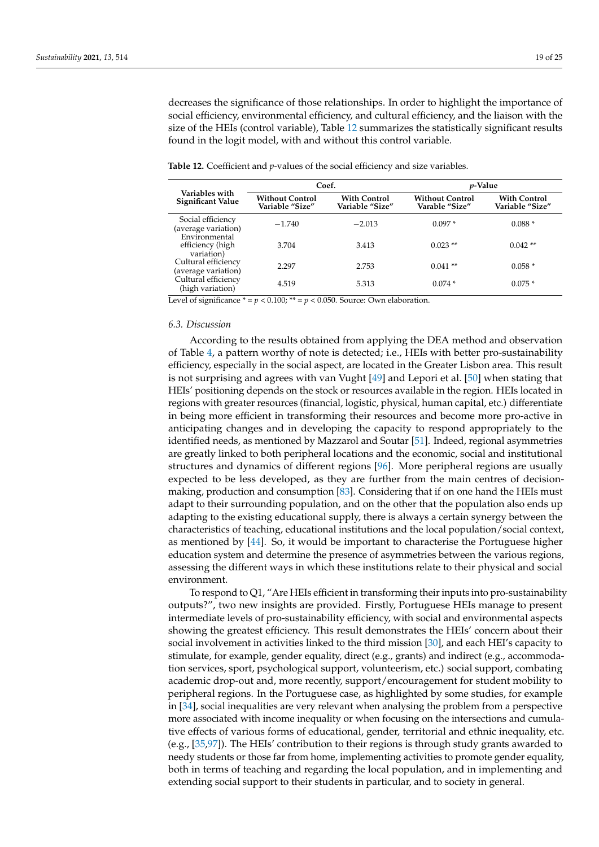decreases the significance of those relationships. In order to highlight the importance of social efficiency, environmental efficiency, and cultural efficiency, and the liaison with the size of the HEIs (control variable), Table [12](#page-18-0) summarizes the statistically significant results found in the logit model, with and without this control variable.

| Variables with<br>Significant Value             | Coef.                                     |                                        | <i>p</i> -Value                          |                                        |
|-------------------------------------------------|-------------------------------------------|----------------------------------------|------------------------------------------|----------------------------------------|
|                                                 | <b>Without Control</b><br>Variable "Size" | <b>With Control</b><br>Variable "Size" | <b>Without Control</b><br>Varable "Size" | <b>With Control</b><br>Variable "Size" |
| Social efficiency<br>(average variation)        | $-1.740$                                  | $-2.013$                               | $0.097*$                                 | $0.088*$                               |
| Environmental<br>efficiency (high<br>variation) | 3.704                                     | 3.413                                  | $0.023$ **                               | $0.042**$                              |
| Cultural efficiency<br>(average variation)      | 2.297                                     | 2.753                                  | $0.041**$                                | $0.058*$                               |
| Cultural efficiency<br>(high variation)         | 4.519                                     | 5.313                                  | $0.074*$                                 | $0.075*$                               |

<span id="page-18-0"></span>**Table 12.** Coefficient and *p*-values of the social efficiency and size variables.

Level of significance  $* = p < 0.100$ ;  $** = p < 0.050$ . Source: Own elaboration.

## *6.3. Discussion*

According to the results obtained from applying the DEA method and observation of Table [4,](#page-10-0) a pattern worthy of note is detected; i.e., HEIs with better pro-sustainability efficiency, especially in the social aspect, are located in the Greater Lisbon area. This result is not surprising and agrees with van Vught [\[49\]](#page-22-28) and Lepori et al. [\[50\]](#page-23-0) when stating that HEIs' positioning depends on the stock or resources available in the region. HEIs located in regions with greater resources (financial, logistic, physical, human capital, etc.) differentiate in being more efficient in transforming their resources and become more pro-active in anticipating changes and in developing the capacity to respond appropriately to the identified needs, as mentioned by Mazzarol and Soutar [\[51\]](#page-23-1). Indeed, regional asymmetries are greatly linked to both peripheral locations and the economic, social and institutional structures and dynamics of different regions [\[96\]](#page-24-15). More peripheral regions are usually expected to be less developed, as they are further from the main centres of decisionmaking, production and consumption [\[83\]](#page-24-2). Considering that if on one hand the HEIs must adapt to their surrounding population, and on the other that the population also ends up adapting to the existing educational supply, there is always a certain synergy between the characteristics of teaching, educational institutions and the local population/social context, as mentioned by [\[44\]](#page-22-23). So, it would be important to characterise the Portuguese higher education system and determine the presence of asymmetries between the various regions, assessing the different ways in which these institutions relate to their physical and social environment.

To respond to Q1, "Are HEIs efficient in transforming their inputs into pro-sustainability outputs?", two new insights are provided. Firstly, Portuguese HEIs manage to present intermediate levels of pro-sustainability efficiency, with social and environmental aspects showing the greatest efficiency. This result demonstrates the HEIs' concern about their social involvement in activities linked to the third mission [\[30\]](#page-22-9), and each HEI's capacity to stimulate, for example, gender equality, direct (e.g., grants) and indirect (e.g., accommodation services, sport, psychological support, volunteerism, etc.) social support, combating academic drop-out and, more recently, support/encouragement for student mobility to peripheral regions. In the Portuguese case, as highlighted by some studies, for example in [\[34\]](#page-22-13), social inequalities are very relevant when analysing the problem from a perspective more associated with income inequality or when focusing on the intersections and cumulative effects of various forms of educational, gender, territorial and ethnic inequality, etc. (e.g., [\[35](#page-22-14)[,97\]](#page-24-16)). The HEIs' contribution to their regions is through study grants awarded to needy students or those far from home, implementing activities to promote gender equality, both in terms of teaching and regarding the local population, and in implementing and extending social support to their students in particular, and to society in general.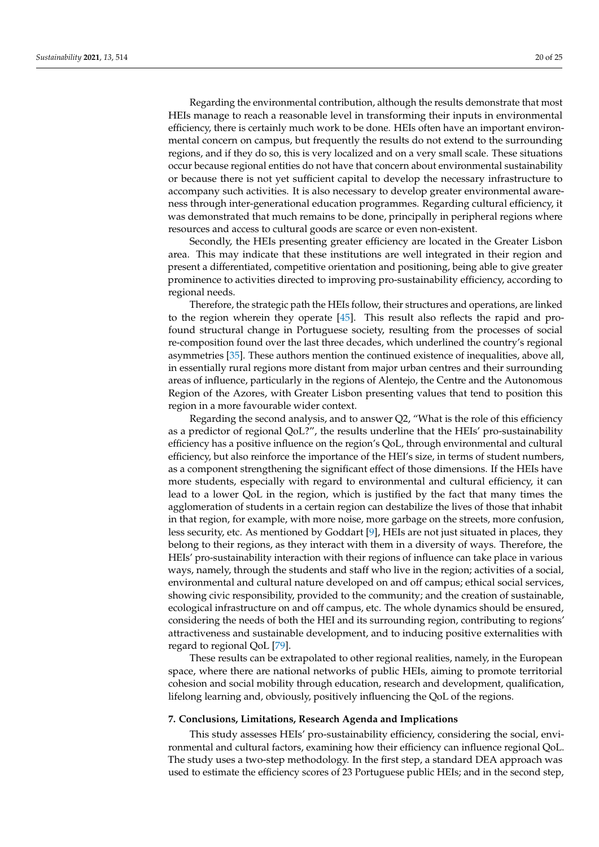Regarding the environmental contribution, although the results demonstrate that most HEIs manage to reach a reasonable level in transforming their inputs in environmental efficiency, there is certainly much work to be done. HEIs often have an important environmental concern on campus, but frequently the results do not extend to the surrounding regions, and if they do so, this is very localized and on a very small scale. These situations occur because regional entities do not have that concern about environmental sustainability or because there is not yet sufficient capital to develop the necessary infrastructure to accompany such activities. It is also necessary to develop greater environmental awareness through inter-generational education programmes. Regarding cultural efficiency, it was demonstrated that much remains to be done, principally in peripheral regions where resources and access to cultural goods are scarce or even non-existent.

Secondly, the HEIs presenting greater efficiency are located in the Greater Lisbon area. This may indicate that these institutions are well integrated in their region and present a differentiated, competitive orientation and positioning, being able to give greater prominence to activities directed to improving pro-sustainability efficiency, according to regional needs.

Therefore, the strategic path the HEIs follow, their structures and operations, are linked to the region wherein they operate [\[45\]](#page-22-24). This result also reflects the rapid and profound structural change in Portuguese society, resulting from the processes of social re-composition found over the last three decades, which underlined the country's regional asymmetries [\[35\]](#page-22-14). These authors mention the continued existence of inequalities, above all, in essentially rural regions more distant from major urban centres and their surrounding areas of influence, particularly in the regions of Alentejo, the Centre and the Autonomous Region of the Azores, with Greater Lisbon presenting values that tend to position this region in a more favourable wider context.

Regarding the second analysis, and to answer Q2, "What is the role of this efficiency as a predictor of regional QoL?", the results underline that the HEIs' pro-sustainability efficiency has a positive influence on the region's QoL, through environmental and cultural efficiency, but also reinforce the importance of the HEI's size, in terms of student numbers, as a component strengthening the significant effect of those dimensions. If the HEIs have more students, especially with regard to environmental and cultural efficiency, it can lead to a lower QoL in the region, which is justified by the fact that many times the agglomeration of students in a certain region can destabilize the lives of those that inhabit in that region, for example, with more noise, more garbage on the streets, more confusion, less security, etc. As mentioned by Goddart [\[9\]](#page-21-8), HEIs are not just situated in places, they belong to their regions, as they interact with them in a diversity of ways. Therefore, the HEIs' pro-sustainability interaction with their regions of influence can take place in various ways, namely, through the students and staff who live in the region; activities of a social, environmental and cultural nature developed on and off campus; ethical social services, showing civic responsibility, provided to the community; and the creation of sustainable, ecological infrastructure on and off campus, etc. The whole dynamics should be ensured, considering the needs of both the HEI and its surrounding region, contributing to regions' attractiveness and sustainable development, and to inducing positive externalities with regard to regional QoL [\[79\]](#page-23-27).

These results can be extrapolated to other regional realities, namely, in the European space, where there are national networks of public HEIs, aiming to promote territorial cohesion and social mobility through education, research and development, qualification, lifelong learning and, obviously, positively influencing the QoL of the regions.

## **7. Conclusions, Limitations, Research Agenda and Implications**

This study assesses HEIs' pro-sustainability efficiency, considering the social, environmental and cultural factors, examining how their efficiency can influence regional QoL. The study uses a two-step methodology. In the first step, a standard DEA approach was used to estimate the efficiency scores of 23 Portuguese public HEIs; and in the second step,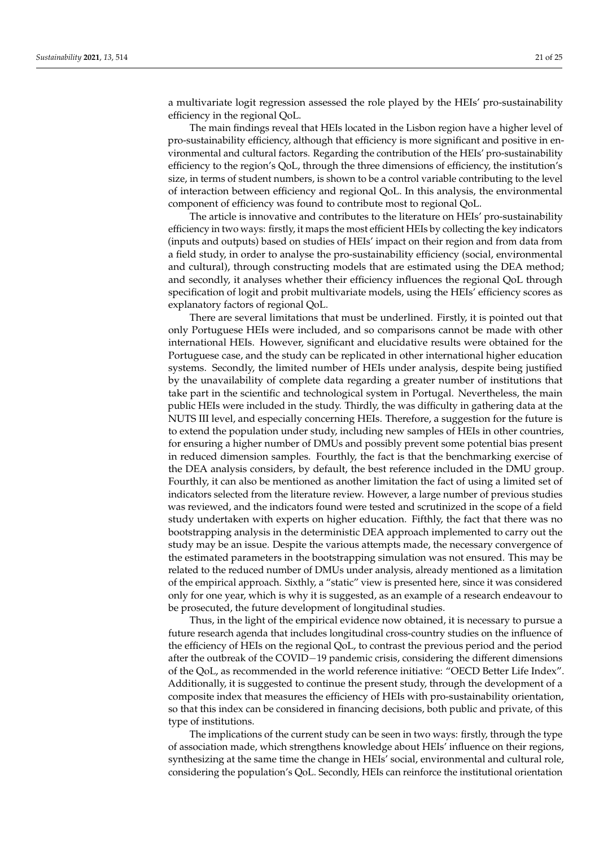a multivariate logit regression assessed the role played by the HEIs' pro-sustainability efficiency in the regional QoL.

The main findings reveal that HEIs located in the Lisbon region have a higher level of pro-sustainability efficiency, although that efficiency is more significant and positive in environmental and cultural factors. Regarding the contribution of the HEIs' pro-sustainability efficiency to the region's QoL, through the three dimensions of efficiency, the institution's size, in terms of student numbers, is shown to be a control variable contributing to the level of interaction between efficiency and regional QoL. In this analysis, the environmental component of efficiency was found to contribute most to regional QoL.

The article is innovative and contributes to the literature on HEIs' pro-sustainability efficiency in two ways: firstly, it maps the most efficient HEIs by collecting the key indicators (inputs and outputs) based on studies of HEIs' impact on their region and from data from a field study, in order to analyse the pro-sustainability efficiency (social, environmental and cultural), through constructing models that are estimated using the DEA method; and secondly, it analyses whether their efficiency influences the regional QoL through specification of logit and probit multivariate models, using the HEIs' efficiency scores as explanatory factors of regional QoL.

There are several limitations that must be underlined. Firstly, it is pointed out that only Portuguese HEIs were included, and so comparisons cannot be made with other international HEIs. However, significant and elucidative results were obtained for the Portuguese case, and the study can be replicated in other international higher education systems. Secondly, the limited number of HEIs under analysis, despite being justified by the unavailability of complete data regarding a greater number of institutions that take part in the scientific and technological system in Portugal. Nevertheless, the main public HEIs were included in the study. Thirdly, the was difficulty in gathering data at the NUTS III level, and especially concerning HEIs. Therefore, a suggestion for the future is to extend the population under study, including new samples of HEIs in other countries, for ensuring a higher number of DMUs and possibly prevent some potential bias present in reduced dimension samples. Fourthly, the fact is that the benchmarking exercise of the DEA analysis considers, by default, the best reference included in the DMU group. Fourthly, it can also be mentioned as another limitation the fact of using a limited set of indicators selected from the literature review. However, a large number of previous studies was reviewed, and the indicators found were tested and scrutinized in the scope of a field study undertaken with experts on higher education. Fifthly, the fact that there was no bootstrapping analysis in the deterministic DEA approach implemented to carry out the study may be an issue. Despite the various attempts made, the necessary convergence of the estimated parameters in the bootstrapping simulation was not ensured. This may be related to the reduced number of DMUs under analysis, already mentioned as a limitation of the empirical approach. Sixthly, a "static" view is presented here, since it was considered only for one year, which is why it is suggested, as an example of a research endeavour to be prosecuted, the future development of longitudinal studies.

Thus, in the light of the empirical evidence now obtained, it is necessary to pursue a future research agenda that includes longitudinal cross-country studies on the influence of the efficiency of HEIs on the regional QoL, to contrast the previous period and the period after the outbreak of the COVID−19 pandemic crisis, considering the different dimensions of the QoL, as recommended in the world reference initiative: "OECD Better Life Index". Additionally, it is suggested to continue the present study, through the development of a composite index that measures the efficiency of HEIs with pro-sustainability orientation, so that this index can be considered in financing decisions, both public and private, of this type of institutions.

The implications of the current study can be seen in two ways: firstly, through the type of association made, which strengthens knowledge about HEIs' influence on their regions, synthesizing at the same time the change in HEIs' social, environmental and cultural role, considering the population's QoL. Secondly, HEIs can reinforce the institutional orientation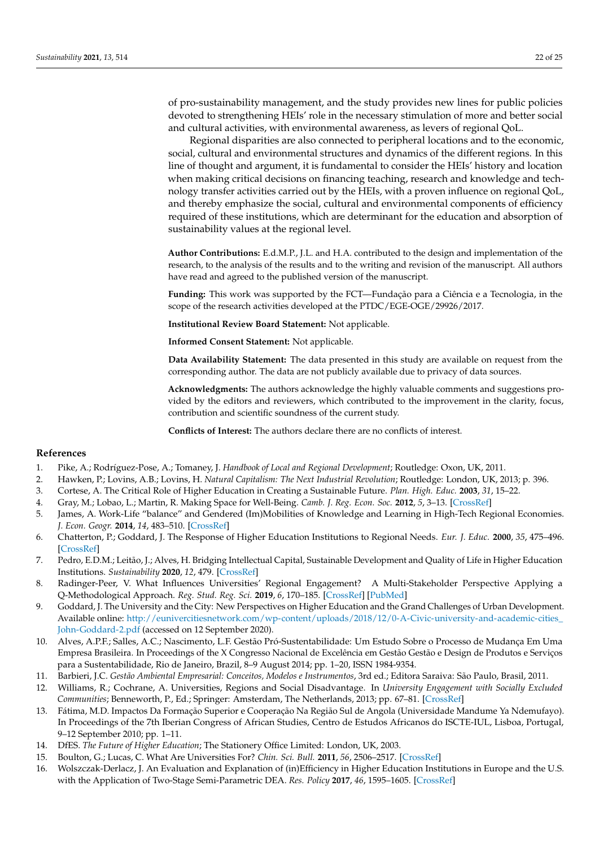of pro-sustainability management, and the study provides new lines for public policies devoted to strengthening HEIs' role in the necessary stimulation of more and better social and cultural activities, with environmental awareness, as levers of regional QoL.

Regional disparities are also connected to peripheral locations and to the economic, social, cultural and environmental structures and dynamics of the different regions. In this line of thought and argument, it is fundamental to consider the HEIs' history and location when making critical decisions on financing teaching, research and knowledge and technology transfer activities carried out by the HEIs, with a proven influence on regional QoL, and thereby emphasize the social, cultural and environmental components of efficiency required of these institutions, which are determinant for the education and absorption of sustainability values at the regional level.

**Author Contributions:** E.d.M.P., J.L. and H.A. contributed to the design and implementation of the research, to the analysis of the results and to the writing and revision of the manuscript. All authors have read and agreed to the published version of the manuscript.

**Funding:** This work was supported by the FCT—Fundação para a Ciência e a Tecnologia, in the scope of the research activities developed at the PTDC/EGE-OGE/29926/2017.

**Institutional Review Board Statement:** Not applicable.

**Informed Consent Statement:** Not applicable.

**Data Availability Statement:** The data presented in this study are available on request from the corresponding author. The data are not publicly available due to privacy of data sources.

**Acknowledgments:** The authors acknowledge the highly valuable comments and suggestions provided by the editors and reviewers, which contributed to the improvement in the clarity, focus, contribution and scientific soundness of the current study.

**Conflicts of Interest:** The authors declare there are no conflicts of interest.

#### **References**

- <span id="page-21-0"></span>1. Pike, A.; Rodríguez-Pose, A.; Tomaney, J. *Handbook of Local and Regional Development*; Routledge: Oxon, UK, 2011.
- <span id="page-21-1"></span>2. Hawken, P.; Lovins, A.B.; Lovins, H. *Natural Capitalism: The Next Industrial Revolution*; Routledge: London, UK, 2013; p. 396.
- <span id="page-21-2"></span>3. Cortese, A. The Critical Role of Higher Education in Creating a Sustainable Future. *Plan. High. Educ.* **2003**, *31*, 15–22.
- <span id="page-21-3"></span>4. Gray, M.; Lobao, L.; Martin, R. Making Space for Well-Being. *Camb. J. Reg. Econ. Soc.* **2012**, *5*, 3–13. [\[CrossRef\]](http://doi.org/10.1093/cjres/rsr044)
- <span id="page-21-4"></span>5. James, A. Work-Life "balance" and Gendered (Im)Mobilities of Knowledge and Learning in High-Tech Regional Economies. *J. Econ. Geogr.* **2014**, *14*, 483–510. [\[CrossRef\]](http://doi.org/10.1093/jeg/lbt002)
- <span id="page-21-5"></span>6. Chatterton, P.; Goddard, J. The Response of Higher Education Institutions to Regional Needs. *Eur. J. Educ.* **2000**, *35*, 475–496. [\[CrossRef\]](http://doi.org/10.1111/1467-3435.00041)
- <span id="page-21-6"></span>7. Pedro, E.D.M.; Leitão, J.; Alves, H. Bridging Intellectual Capital, Sustainable Development and Quality of Life in Higher Education Institutions. *Sustainability* **2020**, *12*, 479. [\[CrossRef\]](http://doi.org/10.3390/su12020479)
- <span id="page-21-7"></span>8. Radinger-Peer, V. What Influences Universities' Regional Engagement? A Multi-Stakeholder Perspective Applying a Q-Methodological Approach. *Reg. Stud. Reg. Sci.* **2019**, *6*, 170–185. [\[CrossRef\]](http://doi.org/10.1080/21681376.2019.1578258) [\[PubMed\]](http://www.ncbi.nlm.nih.gov/pubmed/31565586)
- <span id="page-21-8"></span>9. Goddard, J. The University and the City: New Perspectives on Higher Education and the Grand Challenges of Urban Development. Available online: [http://eunivercitiesnetwork.com/wp-content/uploads/2018/12/0-A-Civic-university-and-academic-cities\\_](http://eunivercitiesnetwork.com/wp-content/uploads/2018/12/0-A-Civic-university-and-academic-cities_John-Goddard-2.pdf) [John-Goddard-2.pdf](http://eunivercitiesnetwork.com/wp-content/uploads/2018/12/0-A-Civic-university-and-academic-cities_John-Goddard-2.pdf) (accessed on 12 September 2020).
- <span id="page-21-9"></span>10. Alves, A.P.F.; Salles, A.C.; Nascimento, L.F. Gestão Pró-Sustentabilidade: Um Estudo Sobre o Processo de Mudança Em Uma Empresa Brasileira. In Proceedings of the X Congresso Nacional de Excelência em Gestão Gestão e Design de Produtos e Serviços para a Sustentabilidade, Rio de Janeiro, Brazil, 8–9 August 2014; pp. 1–20, ISSN 1984-9354.
- <span id="page-21-10"></span>11. Barbieri, J.C. *Gestão Ambiental Empresarial: Conceitos, Modelos e Instrumentos*, 3rd ed.; Editora Saraiva: São Paulo, Brasil, 2011.
- <span id="page-21-11"></span>12. Williams, R.; Cochrane, A. Universities, Regions and Social Disadvantage. In *University Engagement with Socially Excluded Communities*; Benneworth, P., Ed.; Springer: Amsterdam, The Netherlands, 2013; pp. 67–81. [\[CrossRef\]](http://doi.org/10.1007/978-94-007-4875-0_4)
- <span id="page-21-12"></span>13. Fátima, M.D. Impactos Da Formação Superior e Cooperação Na Região Sul de Angola (Universidade Mandume Ya Ndemufayo). In Proceedings of the 7th Iberian Congress of African Studies, Centro de Estudos Africanos do ISCTE-IUL, Lisboa, Portugal, 9–12 September 2010; pp. 1–11.
- <span id="page-21-13"></span>14. DfES. *The Future of Higher Education*; The Stationery Office Limited: London, UK, 2003.
- <span id="page-21-14"></span>15. Boulton, G.; Lucas, C. What Are Universities For? *Chin. Sci. Bull.* **2011**, *56*, 2506–2517. [\[CrossRef\]](http://doi.org/10.1007/s11434-011-4608-7)
- <span id="page-21-15"></span>16. Wolszczak-Derlacz, J. An Evaluation and Explanation of (in)Efficiency in Higher Education Institutions in Europe and the U.S. with the Application of Two-Stage Semi-Parametric DEA. *Res. Policy* **2017**, *46*, 1595–1605. [\[CrossRef\]](http://doi.org/10.1016/j.respol.2017.07.010)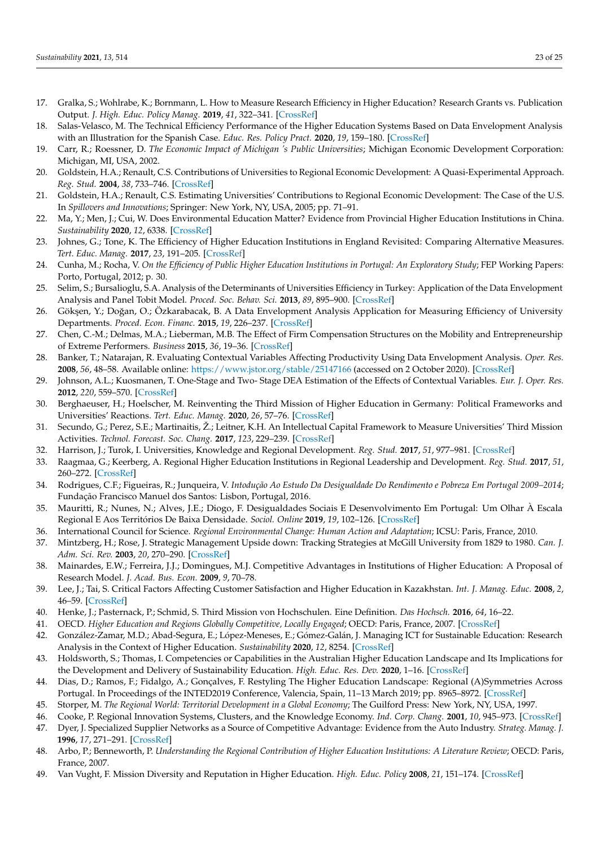- 17. Gralka, S.; Wohlrabe, K.; Bornmann, L. How to Measure Research Efficiency in Higher Education? Research Grants vs. Publication Output. *J. High. Educ. Policy Manag.* **2019**, *41*, 322–341. [\[CrossRef\]](http://doi.org/10.1080/1360080X.2019.1588492)
- <span id="page-22-0"></span>18. Salas-Velasco, M. The Technical Efficiency Performance of the Higher Education Systems Based on Data Envelopment Analysis with an Illustration for the Spanish Case. *Educ. Res. Policy Pract.* **2020**, *19*, 159–180. [\[CrossRef\]](http://doi.org/10.1007/s10671-019-09254-5)
- <span id="page-22-1"></span>19. Carr, R.; Roessner, D. *The Economic Impact of Michigan 's Public Universities*; Michigan Economic Development Corporation: Michigan, MI, USA, 2002.
- 20. Goldstein, H.A.; Renault, C.S. Contributions of Universities to Regional Economic Development: A Quasi-Experimental Approach. *Reg. Stud.* **2004**, *38*, 733–746. [\[CrossRef\]](http://doi.org/10.1080/0034340042000265232)
- <span id="page-22-2"></span>21. Goldstein, H.A.; Renault, C.S. Estimating Universities' Contributions to Regional Economic Development: The Case of the U.S. In *Spillovers and Innovations*; Springer: New York, NY, USA, 2005; pp. 71–91.
- <span id="page-22-3"></span>22. Ma, Y.; Men, J.; Cui, W. Does Environmental Education Matter? Evidence from Provincial Higher Education Institutions in China. *Sustainability* **2020**, *12*, 6338. [\[CrossRef\]](http://doi.org/10.3390/su12166338)
- <span id="page-22-4"></span>23. Johnes, G.; Tone, K. The Efficiency of Higher Education Institutions in England Revisited: Comparing Alternative Measures. *Tert. Educ. Manag.* **2017**, *23*, 191–205. [\[CrossRef\]](http://doi.org/10.1080/13583883.2016.1203457)
- 24. Cunha, M.; Rocha, V. *On the Efficiency of Public Higher Education Institutions in Portugal: An Exploratory Study*; FEP Working Papers: Porto, Portugal, 2012; p. 30.
- 25. Selim, S.; Bursalioglu, S.A. Analysis of the Determinants of Universities Efficiency in Turkey: Application of the Data Envelopment Analysis and Panel Tobit Model. *Proced. Soc. Behav. Sci.* **2013**, *89*, 895–900. [\[CrossRef\]](http://doi.org/10.1016/j.sbspro.2013.08.952)
- <span id="page-22-5"></span>26. Gökşen, Y.; Doğan, O.; Özkarabacak, B. A Data Envelopment Analysis Application for Measuring Efficiency of University Departments. *Proced. Econ. Financ.* **2015**, *19*, 226–237. [\[CrossRef\]](http://doi.org/10.1016/S2212-5671(15)00024-6)
- <span id="page-22-6"></span>27. Chen, C.-M.; Delmas, M.A.; Lieberman, M.B. The Effect of Firm Compensation Structures on the Mobility and Entrepreneurship of Extreme Performers. *Business* **2015**, *36*, 19–36. [\[CrossRef\]](http://doi.org/10.1002/smj.2199)
- <span id="page-22-7"></span>28. Banker, T.; Natarajan, R. Evaluating Contextual Variables Affecting Productivity Using Data Envelopment Analysis. *Oper. Res.* **2008**, *56*, 48–58. Available online: <https://www.jstor.org/stable/25147166> (accessed on 2 October 2020). [\[CrossRef\]](http://doi.org/10.1287/opre.1070.0460)
- <span id="page-22-8"></span>29. Johnson, A.L.; Kuosmanen, T. One-Stage and Two- Stage DEA Estimation of the Effects of Contextual Variables. *Eur. J. Oper. Res.* **2012**, *220*, 559–570. [\[CrossRef\]](http://doi.org/10.1016/j.ejor.2012.01.023)
- <span id="page-22-9"></span>30. Berghaeuser, H.; Hoelscher, M. Reinventing the Third Mission of Higher Education in Germany: Political Frameworks and Universities' Reactions. *Tert. Educ. Manag.* **2020**, *26*, 57–76. [\[CrossRef\]](http://doi.org/10.1007/s11233-019-09030-3)
- <span id="page-22-10"></span>31. Secundo, G.; Perez, S.E.; Martinaitis, Ž.; Leitner, K.H. An Intellectual Capital Framework to Measure Universities' Third Mission Activities. *Technol. Forecast. Soc. Chang.* **2017**, *123*, 229–239. [\[CrossRef\]](http://doi.org/10.1016/j.techfore.2016.12.013)
- <span id="page-22-11"></span>32. Harrison, J.; Turok, I. Universities, Knowledge and Regional Development. *Reg. Stud.* **2017**, *51*, 977–981. [\[CrossRef\]](http://doi.org/10.1080/00343404.2017.1328189)
- <span id="page-22-12"></span>33. Raagmaa, G.; Keerberg, A. Regional Higher Education Institutions in Regional Leadership and Development. *Reg. Stud.* **2017**, *51*, 260–272. [\[CrossRef\]](http://doi.org/10.1080/00343404.2016.1215600)
- <span id="page-22-13"></span>34. Rodrigues, C.F.; Figueiras, R.; Junqueira, V. *Intodução Ao Estudo Da Desigualdade Do Rendimento e Pobreza Em Portugal 2009–2014*; Fundação Francisco Manuel dos Santos: Lisbon, Portugal, 2016.
- <span id="page-22-14"></span>35. Mauritti, R.; Nunes, N.; Alves, J.E.; Diogo, F. Desigualdades Sociais E Desenvolvimento Em Portugal: Um Olhar À Escala Regional E Aos Territórios De Baixa Densidade. *Sociol. Online* **2019**, *19*, 102–126. [\[CrossRef\]](http://doi.org/10.30553/SOCIOLOGIAONLINE.2019.19.5)
- <span id="page-22-15"></span>36. International Council for Science. *Regional Environmental Change: Human Action and Adaptation*; ICSU: Paris, France, 2010.
- <span id="page-22-16"></span>37. Mintzberg, H.; Rose, J. Strategic Management Upside down: Tracking Strategies at McGill University from 1829 to 1980. *Can. J. Adm. Sci. Rev.* **2003**, *20*, 270–290. [\[CrossRef\]](http://doi.org/10.1111/j.1936-4490.2003.tb00705.x)
- <span id="page-22-17"></span>38. Mainardes, E.W.; Ferreira, J.J.; Domingues, M.J. Competitive Advantages in Institutions of Higher Education: A Proposal of Research Model. *J. Acad. Bus. Econ.* **2009**, *9*, 70–78.
- <span id="page-22-18"></span>39. Lee, J.; Tai, S. Critical Factors Affecting Customer Satisfaction and Higher Education in Kazakhstan. *Int. J. Manag. Educ.* **2008**, *2*, 46–59. [\[CrossRef\]](http://doi.org/10.1504/IJMIE.2008.016230)
- <span id="page-22-19"></span>40. Henke, J.; Pasternack, P.; Schmid, S. Third Mission von Hochschulen. Eine Definition. *Das Hochsch.* **2016**, *64*, 16–22.
- <span id="page-22-20"></span>41. OECD. *Higher Education and Regions Globally Competitive, Locally Engaged*; OECD: Paris, France, 2007. [\[CrossRef\]](http://doi.org/10.4000/cybergeo.2575)
- <span id="page-22-21"></span>42. González-Zamar, M.D.; Abad-Segura, E.; López-Meneses, E.; Gómez-Galán, J. Managing ICT for Sustainable Education: Research Analysis in the Context of Higher Education. *Sustainability* **2020**, *12*, 8254. [\[CrossRef\]](http://doi.org/10.3390/su12198254)
- <span id="page-22-22"></span>43. Holdsworth, S.; Thomas, I. Competencies or Capabilities in the Australian Higher Education Landscape and Its Implications for the Development and Delivery of Sustainability Education. *High. Educ. Res. Dev.* **2020**, 1–16. [\[CrossRef\]](http://doi.org/10.1080/07294360.2020.1830038)
- <span id="page-22-23"></span>44. Dias, D.; Ramos, F.; Fidalgo, A.; Gonçalves, F. Restyling The Higher Education Landscape: Regional (A)Symmetries Across Portugal. In Proceedings of the INTED2019 Conference, Valencia, Spain, 11–13 March 2019; pp. 8965–8972. [\[CrossRef\]](http://doi.org/10.21125/inted.2019.2228)
- <span id="page-22-24"></span>45. Storper, M. *The Regional World: Territorial Development in a Global Economy*; The Guilford Press: New York, NY, USA, 1997.
- <span id="page-22-25"></span>46. Cooke, P. Regional Innovation Systems, Clusters, and the Knowledge Economy. *Ind. Corp. Chang.* **2001**, *10*, 945–973. [\[CrossRef\]](http://doi.org/10.1093/icc/10.4.945)
- <span id="page-22-26"></span>47. Dyer, J. Specialized Supplier Networks as a Source of Competitive Advantage: Evidence from the Auto Industry. *Strateg. Manag. J.* **1996**, *17*, 271–291. [\[CrossRef\]](http://doi.org/10.1002/(SICI)1097-0266(199604)17:4<271::AID-SMJ807>3.0.CO;2-Y)
- <span id="page-22-27"></span>48. Arbo, P.; Benneworth, P. *Understanding the Regional Contribution of Higher Education Institutions: A Literature Review*; OECD: Paris, France, 2007.
- <span id="page-22-28"></span>49. Van Vught, F. Mission Diversity and Reputation in Higher Education. *High. Educ. Policy* **2008**, *21*, 151–174. [\[CrossRef\]](http://doi.org/10.1057/hep.2008.5)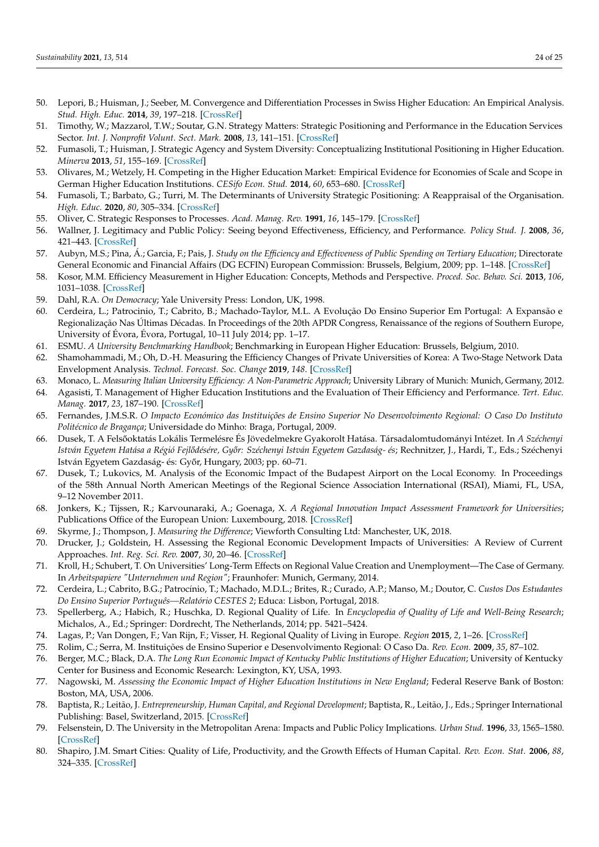- <span id="page-23-0"></span>50. Lepori, B.; Huisman, J.; Seeber, M. Convergence and Differentiation Processes in Swiss Higher Education: An Empirical Analysis. *Stud. High. Educ.* **2014**, *39*, 197–218. [\[CrossRef\]](http://doi.org/10.1080/03075079.2011.647765)
- <span id="page-23-1"></span>51. Timothy, W.; Mazzarol, T.W.; Soutar, G.N. Strategy Matters: Strategic Positioning and Performance in the Education Services Sector. *Int. J. Nonprofit Volunt. Sect. Mark.* **2008**, *13*, 141–151. [\[CrossRef\]](http://doi.org/10.1002/nvsm.313)
- <span id="page-23-2"></span>52. Fumasoli, T.; Huisman, J. Strategic Agency and System Diversity: Conceptualizing Institutional Positioning in Higher Education. *Minerva* **2013**, *51*, 155–169. [\[CrossRef\]](http://doi.org/10.1007/s11024-013-9225-y)
- <span id="page-23-3"></span>53. Olivares, M.; Wetzely, H. Competing in the Higher Education Market: Empirical Evidence for Economies of Scale and Scope in German Higher Education Institutions. *CESifo Econ. Stud.* **2014**, *60*, 653–680. [\[CrossRef\]](http://doi.org/10.1093/cesifo/ifu001)
- <span id="page-23-4"></span>54. Fumasoli, T.; Barbato, G.; Turri, M. The Determinants of University Strategic Positioning: A Reappraisal of the Organisation. *High. Educ.* **2020**, *80*, 305–334. [\[CrossRef\]](http://doi.org/10.1007/s10734-019-00481-6)
- <span id="page-23-5"></span>55. Oliver, C. Strategic Responses to Processes. *Acad. Manag. Rev.* **1991**, *16*, 145–179. [\[CrossRef\]](http://doi.org/10.5465/amr.1991.4279002)
- <span id="page-23-6"></span>56. Wallner, J. Legitimacy and Public Policy: Seeing beyond Effectiveness, Efficiency, and Performance. *Policy Stud. J.* **2008**, *36*, 421–443. [\[CrossRef\]](http://doi.org/10.1111/j.1541-0072.2008.00275.x)
- <span id="page-23-7"></span>57. Aubyn, M.S.; Pina, Á.; Garcia, F.; Pais, J. *Study on the Efficiency and Effectiveness of Public Spending on Tertiary Education*; Directorate General Economic and Financial Affairs (DG ECFIN) European Commission: Brussels, Belgium, 2009; pp. 1–148. [\[CrossRef\]](http://doi.org/10.2765/30348)
- <span id="page-23-8"></span>58. Kosor, M.M. Efficiency Measurement in Higher Education: Concepts, Methods and Perspective. *Proced. Soc. Behav. Sci.* **2013**, *106*, 1031–1038. [\[CrossRef\]](http://doi.org/10.1016/j.sbspro.2013.12.117)
- <span id="page-23-9"></span>59. Dahl, R.A. *On Democracy*; Yale University Press: London, UK, 1998.
- <span id="page-23-10"></span>60. Cerdeira, L.; Patrocinio, T.; Cabrito, B.; Machado-Taylor, M.L. A Evolução Do Ensino Superior Em Portugal: A Expansão e Regionalização Nas Últimas Décadas. In Proceedings of the 20th APDR Congress, Renaissance of the regions of Southern Europe, University of Évora, Évora, Portugal, 10–11 July 2014; pp. 1–17.
- <span id="page-23-11"></span>61. ESMU. *A University Benchmarking Handbook*; Benchmarking in European Higher Education: Brussels, Belgium, 2010.
- <span id="page-23-12"></span>62. Shamohammadi, M.; Oh, D.-H. Measuring the Efficiency Changes of Private Universities of Korea: A Two-Stage Network Data Envelopment Analysis. *Technol. Forecast. Soc. Change* **2019**, *148*. [\[CrossRef\]](http://doi.org/10.1016/j.techfore.2019.119730)
- <span id="page-23-13"></span>63. Monaco, L. *Measuring Italian University Efficiency: A Non-Parametric Approach*; University Library of Munich: Munich, Germany, 2012.
- <span id="page-23-14"></span>64. Agasisti, T. Management of Higher Education Institutions and the Evaluation of Their Efficiency and Performance. *Tert. Educ. Manag.* **2017**, *23*, 187–190. [\[CrossRef\]](http://doi.org/10.1080/13583883.2017.1336250)
- <span id="page-23-15"></span>65. Fernandes, J.M.S.R. *O Impacto Económico das Instituições de Ensino Superior No Desenvolvimento Regional: O Caso Do Instituto Politécnico de Bragança*; Universidade do Minho: Braga, Portugal, 2009.
- 66. Dusek, T. A Fels˝ooktatás Lokális Termelésre És Jövedelmekre Gyakorolt Hatása. Társadalomtudományi Intézet. In *A Széchenyi* István Egyetem Hatása a Régió Fejlődésére, Győr: Széchenyi István Egyetem Gazdaság- és; Rechnitzer, J., Hardi, T., Eds.; Széchenyi István Egyetem Gazdaság- és: Győr, Hungary, 2003; pp. 60-71.
- 67. Dusek, T.; Lukovics, M. Analysis of the Economic Impact of the Budapest Airport on the Local Economy. In Proceedings of the 58th Annual North American Meetings of the Regional Science Association International (RSAI), Miami, FL, USA, 9–12 November 2011.
- <span id="page-23-17"></span>68. Jonkers, K.; Tijssen, R.; Karvounaraki, A.; Goenaga, X. *A Regional Innovation Impact Assessment Framework for Universities*; Publications Office of the European Union: Luxembourg, 2018. [\[CrossRef\]](http://doi.org/10.2760/623825)
- <span id="page-23-16"></span>69. Skyrme, J.; Thompson, J. *Measuring the Difference*; Viewforth Consulting Ltd: Manchester, UK, 2018.
- <span id="page-23-18"></span>70. Drucker, J.; Goldstein, H. Assessing the Regional Economic Development Impacts of Universities: A Review of Current Approaches. *Int. Reg. Sci. Rev.* **2007**, *30*, 20–46. [\[CrossRef\]](http://doi.org/10.1177/0160017606296731)
- <span id="page-23-19"></span>71. Kroll, H.; Schubert, T. On Universities' Long-Term Effects on Regional Value Creation and Unemployment—The Case of Germany. In *Arbeitspapiere "Unternehmen und Region"*; Fraunhofer: Munich, Germany, 2014.
- <span id="page-23-20"></span>72. Cerdeira, L.; Cabrito, B.G.; Patrocínio, T.; Machado, M.D.L.; Brites, R.; Curado, A.P.; Manso, M.; Doutor, C. *Custos Dos Estudantes Do Ensino Superior Português—Relatório CESTES 2*; Educa: Lisbon, Portugal, 2018.
- <span id="page-23-21"></span>73. Spellerberg, A.; Habich, R.; Huschka, D. Regional Quality of Life. In *Encyclopedia of Quality of Life and Well-Being Research*; Michalos, A., Ed.; Springer: Dordrecht, The Netherlands, 2014; pp. 5421–5424.
- <span id="page-23-22"></span>74. Lagas, P.; Van Dongen, F.; Van Rijn, F.; Visser, H. Regional Quality of Living in Europe. *Region* **2015**, *2*, 1–26. [\[CrossRef\]](http://doi.org/10.18335/region.v2i2.43)
- <span id="page-23-23"></span>75. Rolim, C.; Serra, M. Instituições de Ensino Superior e Desenvolvimento Regional: O Caso Da. *Rev. Econ.* **2009**, *35*, 87–102.
- <span id="page-23-24"></span>76. Berger, M.C.; Black, D.A. *The Long Run Economic Impact of Kentucky Public Institutions of Higher Education*; University of Kentucky Center for Business and Economic Research: Lexington, KY, USA, 1993.
- <span id="page-23-26"></span>77. Nagowski, M. *Assessing the Economic Impact of Higher Education Institutions in New England*; Federal Reserve Bank of Boston: Boston, MA, USA, 2006.
- <span id="page-23-25"></span>78. Baptista, R.; Leitão, J. *Entrepreneurship, Human Capital, and Regional Development*; Baptista, R., Leitão, J., Eds.; Springer International Publishing: Basel, Switzerland, 2015. [\[CrossRef\]](http://doi.org/10.1007/978-3-319-12871-9)
- <span id="page-23-27"></span>79. Felsenstein, D. The University in the Metropolitan Arena: Impacts and Public Policy Implications. *Urban Stud.* **1996**, *33*, 1565–1580. [\[CrossRef\]](http://doi.org/10.1080/0042098966501)
- <span id="page-23-28"></span>80. Shapiro, J.M. Smart Cities: Quality of Life, Productivity, and the Growth Effects of Human Capital. *Rev. Econ. Stat.* **2006**, *88*, 324–335. [\[CrossRef\]](http://doi.org/10.1162/rest.88.2.324)